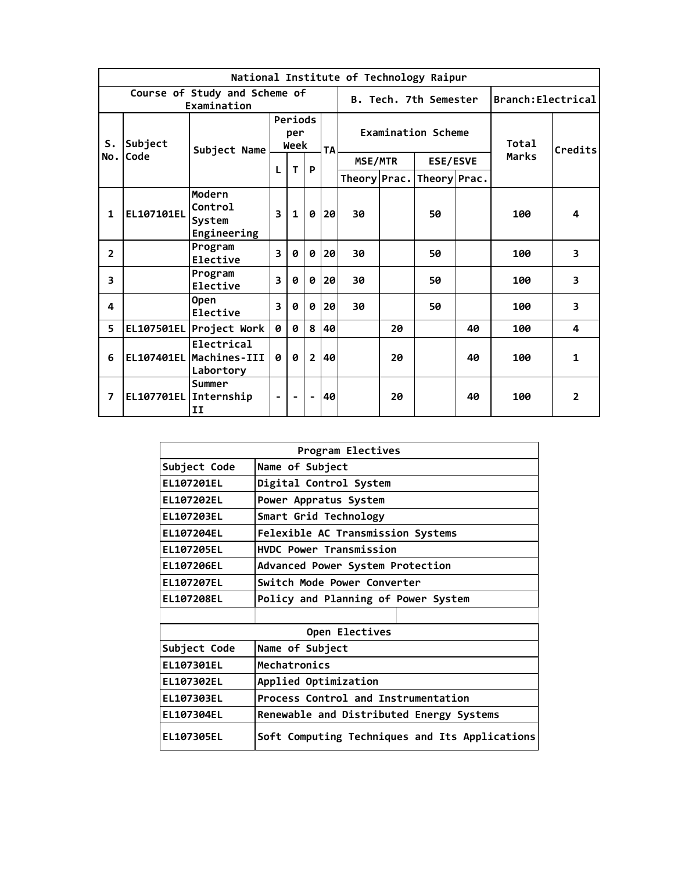|                |                 |                                                    |                         |              |                             |           |                                                         |    | National Institute of Technology Raipur |    |                    |                |
|----------------|-----------------|----------------------------------------------------|-------------------------|--------------|-----------------------------|-----------|---------------------------------------------------------|----|-----------------------------------------|----|--------------------|----------------|
|                |                 | Course of Study and Scheme of<br>Examination       |                         |              |                             |           |                                                         |    | B. Tech. 7th Semester                   |    | Branch: Electrical |                |
| S.<br>No.l     | Subject<br>Code | Subject Name                                       |                         |              | Periods<br>per<br>Week<br>P | <b>TA</b> | <b>Examination Scheme</b><br>MSE/MTR<br><b>ESE/ESVE</b> |    |                                         |    | Total<br>Marks     | Credits        |
|                |                 |                                                    | L                       | T            |                             |           |                                                         |    | Theory Prac. Theory Prac.               |    |                    |                |
| 1              | EL107101EL      | Modern<br>Control<br>System<br>Engineering         | 3                       | $\mathbf{1}$ | ø                           | 20        | 30                                                      |    | 50                                      |    | 100                | 4              |
| $\overline{2}$ |                 | Program<br>Elective                                | 3                       | 0            | 0                           | 20        | 30                                                      |    | 50                                      |    | 100                | 3              |
| 3              |                 | Program<br>Elective                                | $\overline{\mathbf{3}}$ | 0            | 0                           | 20        | 30                                                      |    | 50                                      |    | 100                | 3              |
| 4              |                 | <b>Open</b><br>Elective                            | $\overline{\mathbf{3}}$ | 0            | 0                           | 20        | 30                                                      |    | 50                                      |    | 100                | 3              |
| 5.             |                 | EL107501EL Project Work                            | 0                       | Ø            | 8                           | 40        |                                                         | 20 |                                         | 40 | 100                | 4              |
| 6              |                 | Electrical<br>EL107401EL Machines-III<br>Labortory | 0                       | 0            | $\overline{2}$              | 40        |                                                         | 20 |                                         | 40 | 100                | $\mathbf{1}$   |
| 7              |                 | Summer<br>EL107701EL Internship<br>II              | $\blacksquare$          |              | $\overline{\phantom{a}}$    | 40        |                                                         | 20 |                                         | 40 | 100                | $\overline{2}$ |

|                   | Program Electives                              |
|-------------------|------------------------------------------------|
| Subject Code      | Name of Subject                                |
| EL107201EL        | Digital Control System                         |
| EL107202EL        | Power Appratus System                          |
| EL107203EL        | Smart Grid Technology                          |
| <b>EL107204EL</b> | Felexible AC Transmission Systems              |
| EL107205EL        | <b>HVDC Power Transmission</b>                 |
| EL107206EL        | Advanced Power System Protection               |
| <b>EL107207EL</b> | Switch Mode Power Converter                    |
| EL107208EL        | Policy and Planning of Power System            |
|                   |                                                |
|                   | Open Electives                                 |
| Subject Code      | Name of Subject                                |
| EL107301EL        | Mechatronics                                   |
| EL107302EL        | Applied Optimization                           |
| EL107303EL        | Process Control and Instrumentation            |
| EL107304EL        | Renewable and Distributed Energy Systems       |
| EL107305EL        | Soft Computing Techniques and Its Applications |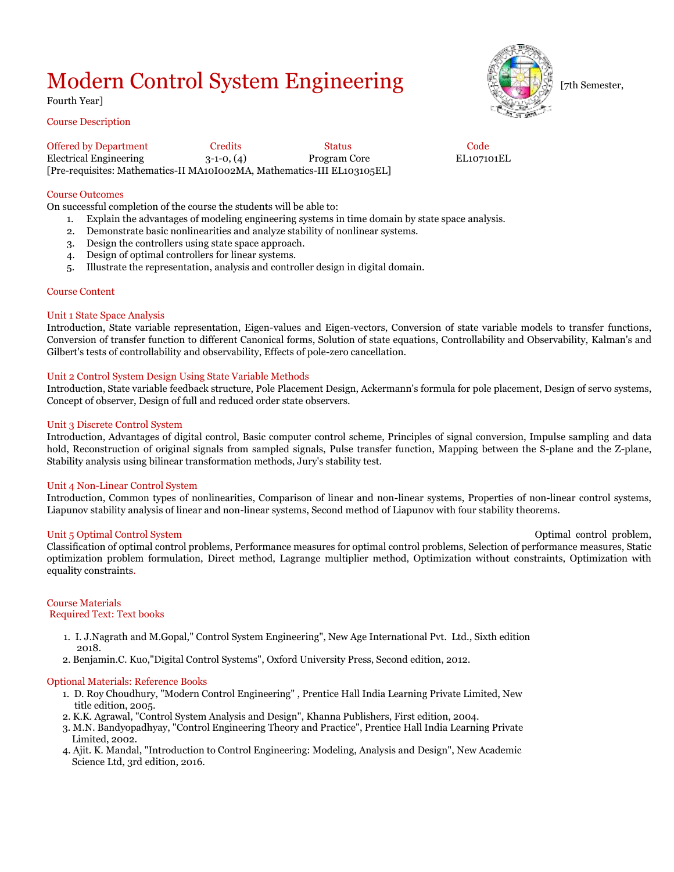# Modern Control System Engineering Fig. 5 and the semester,

# Fourth Year]

# Course Description

Offered by Department Credits Status Status Code Electrical Engineering 3-1-0, (4) Program Core EL107101EL [Pre-requisites: Mathematics-II MA10I002MA, Mathematics-III EL103105EL]

# Course Outcomes

On successful completion of the course the students will be able to:

- 1. Explain the advantages of modeling engineering systems in time domain by state space analysis.
- 2. Demonstrate basic nonlinearities and analyze stability of nonlinear systems.
- 3. Design the controllers using state space approach.<br>4. Design of optimal controllers for linear systems.
- 4. Design of optimal controllers for linear systems.
- 5. Illustrate the representation, analysis and controller design in digital domain.

#### Course Content

#### Unit 1 State Space Analysis

Introduction, State variable representation, Eigen-values and Eigen-vectors, Conversion of state variable models to transfer functions, Conversion of transfer function to different Canonical forms, Solution of state equations, Controllability and Observability, Kalman's and Gilbert's tests of controllability and observability, Effects of pole-zero cancellation.

#### Unit 2 Control System Design Using State Variable Methods

Introduction, State variable feedback structure, Pole Placement Design, Ackermann's formula for pole placement, Design of servo systems, Concept of observer, Design of full and reduced order state observers.

#### Unit 3 Discrete Control System

Introduction, Advantages of digital control, Basic computer control scheme, Principles of signal conversion, Impulse sampling and data hold, Reconstruction of original signals from sampled signals, Pulse transfer function, Mapping between the S-plane and the Z-plane, Stability analysis using bilinear transformation methods, Jury's stability test.

#### Unit 4 Non-Linear Control System

Introduction, Common types of nonlinearities, Comparison of linear and non-linear systems, Properties of non-linear control systems, Liapunov stability analysis of linear and non-linear systems, Second method of Liapunov with four stability theorems.

#### Unit 5 Optimal Control System and System of the Unit of the Unit of the Optimal control problem,

Classification of optimal control problems, Performance measures for optimal control problems, Selection of performance measures, Static optimization problem formulation, Direct method, Lagrange multiplier method, Optimization without constraints, Optimization with equality constraints.

# Course Materials

## Required Text: Text books

- 1. I. J.Nagrath and M.Gopal," Control System Engineering", New Age International Pvt. Ltd., Sixth edition 2018.
- 2. Benjamin.C. Kuo,"Digital Control Systems", Oxford University Press, Second edition, 2012.

## Optional Materials: Reference Books

- 1. D. Roy Choudhury, "Modern Control Engineering" , Prentice Hall India Learning Private Limited, New title edition, 2005.
- 2. K.K. Agrawal, "Control System Analysis and Design", Khanna Publishers, First edition, 2004.
- 3. M.N. Bandyopadhyay, "Control Engineering Theory and Practice", Prentice Hall India Learning Private Limited, 2002.
- 4. Ajit. K. Mandal, "Introduction to Control Engineering: Modeling, Analysis and Design", New Academic Science Ltd, 3rd edition, 2016.

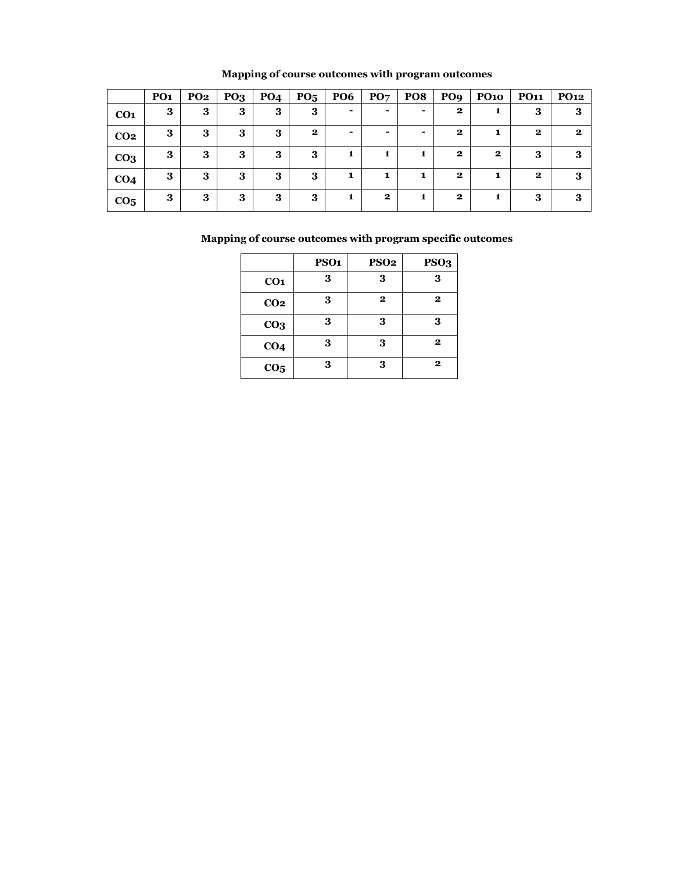|                 | PO <sub>1</sub> | <b>PO2</b> | PO <sub>3</sub> | PO <sub>4</sub> | PO <sub>5</sub> | <b>PO6</b>     | PO7                      | PO <sub>8</sub> | PO <sub>9</sub> | <b>PO10</b>  | <b>PO11</b>  | <b>PO12</b>  |
|-----------------|-----------------|------------|-----------------|-----------------|-----------------|----------------|--------------------------|-----------------|-----------------|--------------|--------------|--------------|
| CO <sub>1</sub> | 3               | 3          | 3               | 3               | 3               | ۰              | ۰                        |                 | $\bf{2}$        | 1            | 3            | 3            |
| CO <sub>2</sub> | 3               | 3          | 3               | 3               | $\bf{2}$        | $\blacksquare$ | $\overline{\phantom{0}}$ | -               | $\mathbf{2}$    | 1            | $\mathbf{2}$ | $\mathbf{2}$ |
| CO <sub>3</sub> | 3               | 3          | 3               | 3               | 3               | 1              | 1                        |                 | $\mathbf 2$     | $\mathbf{2}$ | 3            | 3            |
| CO <sub>4</sub> | 3               | 3          | 3               | 3               | 3               |                | 1                        |                 | $\bf{2}$        | 1            | $\mathbf{2}$ | 3            |
| CO <sub>5</sub> | 3               | 3          | 3               | 3               | 3               | 1              | $\mathbf{2}$             | 1               | $\mathbf{2}$    | 1            | 3            | 3            |

# **Mapping of course outcomes with program outcomes**

|                 | PSO <sub>1</sub> | <b>PSO2</b>  | PSO <sub>3</sub> |
|-----------------|------------------|--------------|------------------|
| CO <sub>1</sub> | 3                | 3            | 3                |
| CO <sub>2</sub> | 3                | $\mathbf{2}$ | $\mathbf 2$      |
| CO <sub>3</sub> | 3                | 3            | 3                |
| CO <sub>4</sub> | 3                | 3            | $\mathbf{2}$     |
| CO <sub>5</sub> | 3                | 3            | $\mathbf 2$      |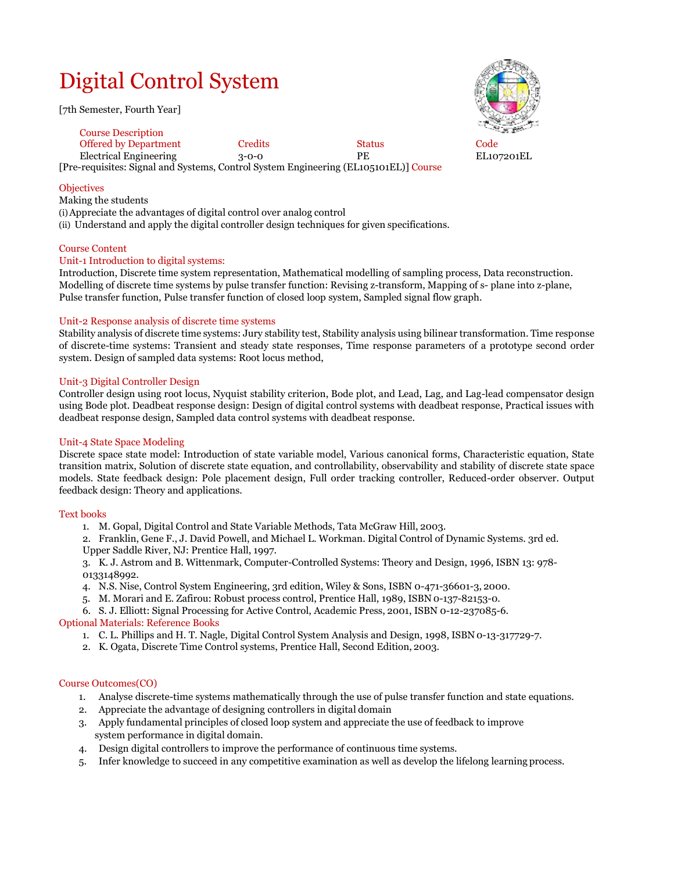# Digital Control System

[7th Semester, Fourth Year]



[Pre-requisites: Signal and Systems, Control System Engineering (EL105101EL)] Course Course Description Offered by Department Credits Status Code Electrical Engineering 3-0-0 PE EL107201EL

# **Objectives**

Making the students

(i)Appreciate the advantages of digital control over analog control

(ii) Understand and apply the digital controller design techniques for given specifications.

## Course Content

## Unit-1 Introduction to digital systems:

Introduction, Discrete time system representation, Mathematical modelling of sampling process, Data reconstruction. Modelling of discrete time systems by pulse transfer function: Revising z-transform, Mapping of s- plane into z-plane, Pulse transfer function, Pulse transfer function of closed loop system, Sampled signal flow graph.

## Unit-2 Response analysis of discrete time systems

Stability analysis of discrete time systems: Jury stability test, Stability analysis using bilinear transformation. Time response of discrete-time systems: Transient and steady state responses, Time response parameters of a prototype second order system. Design of sampled data systems: Root locus method,

## Unit-3 Digital Controller Design

Controller design using root locus, Nyquist stability criterion, Bode plot, and Lead, Lag, and Lag-lead compensator design using Bode plot. Deadbeat response design: Design of digital control systems with deadbeat response, Practical issues with deadbeat response design, Sampled data control systems with deadbeat response.

## Unit-4 State Space Modeling

Discrete space state model: Introduction of state variable model, Various canonical forms, Characteristic equation, State transition matrix, Solution of discrete state equation, and controllability, observability and stability of discrete state space models. State feedback design: Pole placement design, Full order tracking controller, Reduced-order observer. Output feedback design: Theory and applications.

## Text books

- 1. M. Gopal, Digital Control and State Variable Methods, Tata McGraw Hill, 2003.
- 2. Franklin, Gene F., J. David Powell, and Michael L. Workman. Digital Control of Dynamic Systems. 3rd ed. Upper Saddle River, NJ: Prentice Hall, 1997.

3. K. J. Astrom and B. Wittenmark, Computer-Controlled Systems: Theory and Design, 1996, ISBN 13: 978- 0133148992.

4. N.S. Nise, Control System Engineering, 3rd edition, Wiley & Sons, ISBN 0-471-36601-3, 2000.

5. M. Morari and E. Zafirou: Robust process control, Prentice Hall, 1989, ISBN 0-137-82153-0.

6. S. J. Elliott: Signal Processing for Active Control, Academic Press, 2001, ISBN 0-12-237085-6. Optional Materials: Reference Books

- 1. C. L. Phillips and H. T. Nagle, Digital Control System Analysis and Design, 1998, ISBN 0-13-317729-7.
- 2. K. Ogata, Discrete Time Control systems, Prentice Hall, Second Edition, 2003.

## Course Outcomes(CO)

- 1. Analyse discrete-time systems mathematically through the use of pulse transfer function and state equations.
- 2. Appreciate the advantage of designing controllers in digital domain
- 3. Apply fundamental principles of closed loop system and appreciate the use of feedback to improve system performance in digital domain.
- 4. Design digital controllers to improve the performance of continuous time systems.
- 5. Infer knowledge to succeed in any competitive examination as well as develop the lifelong learning process.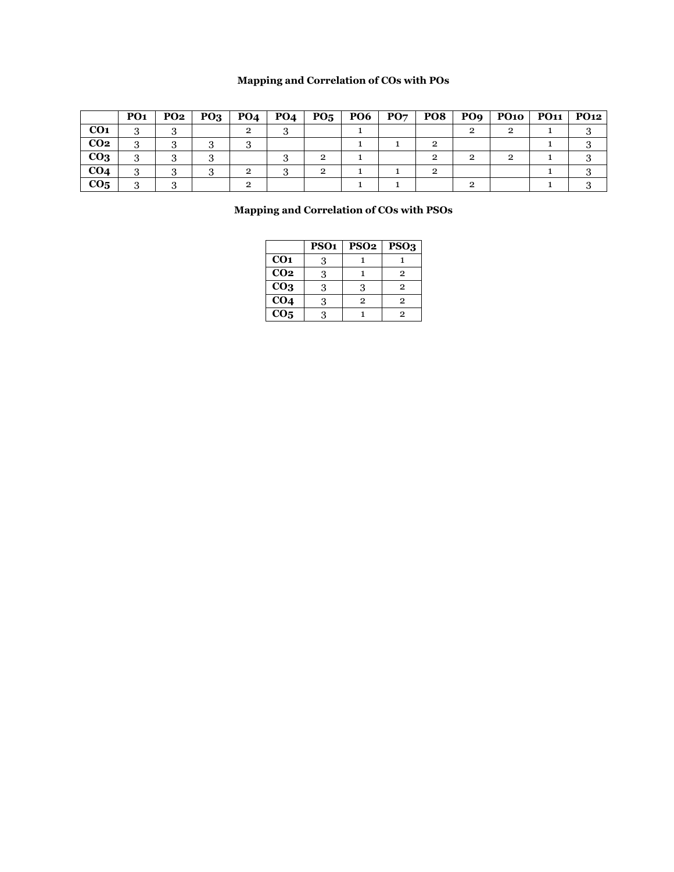# **Mapping and Correlation of COs with POs**

|                 | PO <sub>1</sub> | PO2 | PO <sub>3</sub> | <b>PO4</b> | <b>PO4</b> | $P_{05}$ | P O6 | $\mathbf{P}\mathbf{O}\mathbf{7}$ | PO8 | PO <sub>9</sub> | PQ1Q | <b>PO11</b> | PO12 |
|-----------------|-----------------|-----|-----------------|------------|------------|----------|------|----------------------------------|-----|-----------------|------|-------------|------|
| CO <sub>1</sub> |                 |     |                 |            |            |          |      |                                  |     |                 |      |             |      |
| CO <sub>2</sub> |                 |     |                 |            |            |          |      |                                  |     |                 |      |             |      |
| CO <sub>3</sub> |                 |     |                 |            |            |          |      |                                  |     |                 |      |             |      |
| CO <sub>4</sub> |                 |     |                 | ົ          |            | റ        |      |                                  |     |                 |      |             |      |
| CO <sub>5</sub> |                 |     |                 |            |            |          |      |                                  |     |                 |      |             |      |

# **Mapping and Correlation of COs with PSOs**

|                   | PSO <sub>1</sub> | PSO <sub>2</sub> | PSO <sub>3</sub> |
|-------------------|------------------|------------------|------------------|
| CO <sub>1</sub>   | 3                |                  |                  |
| CO <sub>2</sub>   | 3                |                  | 2                |
| $\overline{CO_3}$ | 3                | 3                | $\mathbf{2}$     |
| CO <sub>4</sub>   | 3                | $\overline{2}$   | 2                |
| CO <sub>5</sub>   | વ                |                  | 2                |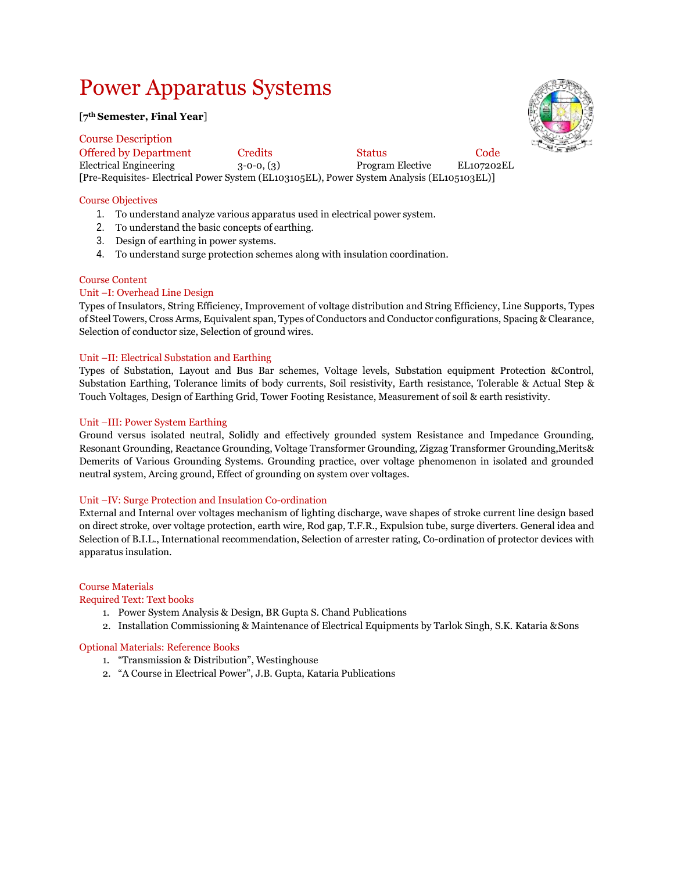# Power Apparatus Systems

## [**7 th Semester, Final Year**]

Course Description Offered by Department Credits Status Code Electrical Engineering 3-0-0, (3) Program Elective EL107202EL [Pre-Requisites- Electrical Power System (EL103105EL), Power System Analysis (EL105103EL)]

# Course Objectives

- 1. To understand analyze various apparatus used in electrical power system.
- 2. To understand the basic concepts of earthing.
- 3. Design of earthing in power systems.
- 4. To understand surge protection schemes along with insulation coordination.

## Course Content

# Unit –I: Overhead Line Design

Types of Insulators, String Efficiency, Improvement of voltage distribution and String Efficiency, Line Supports, Types of Steel Towers, Cross Arms, Equivalent span, Types of Conductors and Conductor configurations, Spacing & Clearance, Selection of conductor size, Selection of ground wires.

# Unit –II: Electrical Substation and Earthing

Types of Substation, Layout and Bus Bar schemes, Voltage levels, Substation equipment Protection &Control, Substation Earthing, Tolerance limits of body currents, Soil resistivity, Earth resistance, Tolerable & Actual Step & Touch Voltages, Design of Earthing Grid, Tower Footing Resistance, Measurement of soil & earth resistivity.

## Unit –III: Power System Earthing

Ground versus isolated neutral, Solidly and effectively grounded system Resistance and Impedance Grounding, Resonant Grounding, Reactance Grounding, Voltage Transformer Grounding, Zigzag Transformer Grounding,Merits& Demerits of Various Grounding Systems. Grounding practice, over voltage phenomenon in isolated and grounded neutral system, Arcing ground, Effect of grounding on system over voltages.

## Unit –IV: Surge Protection and Insulation Co-ordination

External and Internal over voltages mechanism of lighting discharge, wave shapes of stroke current line design based on direct stroke, over voltage protection, earth wire, Rod gap, T.F.R., Expulsion tube, surge diverters. General idea and Selection of B.I.L., International recommendation, Selection of arrester rating, Co-ordination of protector devices with apparatus insulation.

## Course Materials

## Required Text: Text books

- 1. Power System Analysis & Design, BR Gupta S. Chand Publications
- 2. Installation Commissioning & Maintenance of Electrical Equipments by Tarlok Singh, S.K. Kataria &Sons

## Optional Materials: Reference Books

- 1. "Transmission & Distribution", Westinghouse
- 2. "A Course in Electrical Power", J.B. Gupta, Kataria Publications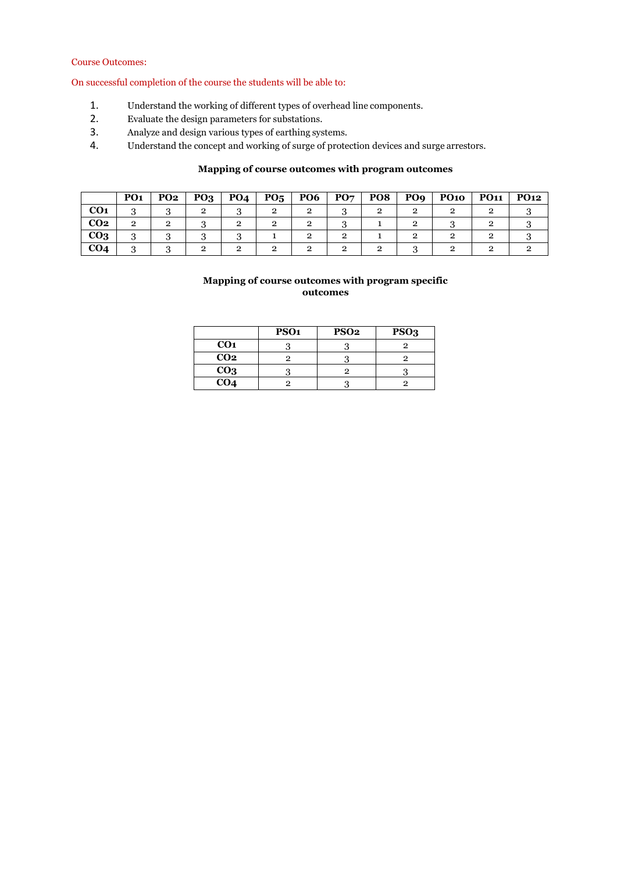# Course Outcomes:

On successful completion of the course the students will be able to:

- 1. Understand the working of different types of overhead line components.<br>2. Evaluate the design parameters for substations.
- 2. Evaluate the design parameters for substations.<br>3. Analyze and design various types of earthing sys
- 3. Analyze and design various types of earthing systems.<br>4. Understand the concept and working of surge of prote
- Understand the concept and working of surge of protection devices and surge arrestors.

# **Mapping of course outcomes with program outcomes**

|                 | PO <sub>1</sub> | <b>PO2</b> | PQ <sub>3</sub> | PO <sub>4</sub> | $P_{05}$ | <b>PO6</b> | PO <sub>7</sub> | PO8 | PO <sub>9</sub> | <b>PO10</b> | <b>PO11</b> | <b>PO12</b> |
|-----------------|-----------------|------------|-----------------|-----------------|----------|------------|-----------------|-----|-----------------|-------------|-------------|-------------|
| CO <sub>1</sub> | .,              |            |                 |                 |          |            |                 |     |                 |             |             |             |
| CO <sub>2</sub> |                 |            |                 |                 |          |            |                 |     |                 |             |             |             |
| CO <sub>3</sub> | ບ               |            |                 |                 |          |            |                 |     |                 |             |             |             |
| CO <sub>4</sub> |                 |            |                 |                 |          |            |                 |     |                 |             |             |             |

|                 | PSO <sub>1</sub> | <b>PSO2</b> | PSO <sub>3</sub> |
|-----------------|------------------|-------------|------------------|
| CO <sub>1</sub> |                  |             |                  |
| CO <sub>2</sub> |                  |             |                  |
| CO <sub>3</sub> |                  |             |                  |
| CO <sub>4</sub> |                  |             |                  |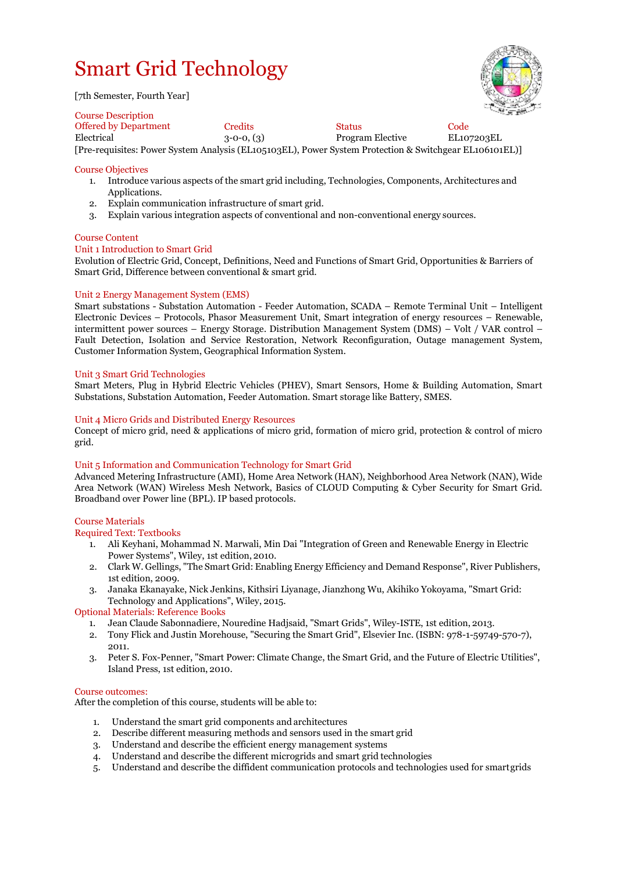# Smart Grid Technology

[7th Semester, Fourth Year]

# Course Description



Offered by Department Credits Status Code  $3-0-0$ ,  $(3)$  Program Elective [Pre-requisites: Power System Analysis (EL105103EL), Power System Protection & Switchgear EL106101EL)]

# Course Objectives

- 1. Introduce various aspects of the smart grid including, Technologies, Components, Architectures and Applications.
- 2. Explain communication infrastructure of smart grid.
- 3. Explain various integration aspects of conventional and non-conventional energy sources.

# Course Content

# Unit 1 Introduction to Smart Grid

Evolution of Electric Grid, Concept, Definitions, Need and Functions of Smart Grid, Opportunities & Barriers of Smart Grid, Difference between conventional & smart grid.

# Unit 2 Energy Management System (EMS)

Smart substations - Substation Automation - Feeder Automation, SCADA – Remote Terminal Unit – Intelligent Electronic Devices – Protocols, Phasor Measurement Unit, Smart integration of energy resources – Renewable, intermittent power sources – Energy Storage. Distribution Management System (DMS) – Volt / VAR control – Fault Detection, Isolation and Service Restoration, Network Reconfiguration, Outage management System, Customer Information System, Geographical Information System.

#### Unit 3 Smart Grid Technologies

Smart Meters, Plug in Hybrid Electric Vehicles (PHEV), Smart Sensors, Home & Building Automation, Smart Substations, Substation Automation, Feeder Automation. Smart storage like Battery, SMES.

#### Unit 4 Micro Grids and Distributed Energy Resources

Concept of micro grid, need & applications of micro grid, formation of micro grid, protection & control of micro grid.

#### Unit 5 Information and Communication Technology for Smart Grid

Advanced Metering Infrastructure (AMI), Home Area Network (HAN), Neighborhood Area Network (NAN), Wide Area Network (WAN) Wireless Mesh Network, Basics of CLOUD Computing & Cyber Security for Smart Grid. Broadband over Power line (BPL). IP based protocols.

#### Course Materials

#### Required Text: Textbooks

- 1. Ali Keyhani, Mohammad N. Marwali, Min Dai "Integration of Green and Renewable Energy in Electric Power Systems", Wiley, 1st edition, 2010.
- 2. Clark W. Gellings, "The Smart Grid: Enabling Energy Efficiency and Demand Response", River Publishers, 1st edition, 2009.
- 3. Janaka Ekanayake, Nick Jenkins, Kithsiri Liyanage, Jianzhong Wu, Akihiko Yokoyama, "Smart Grid: Technology and Applications", Wiley, 2015.

# Optional Materials: Reference Books

- 1. Jean Claude Sabonnadiere, Nouredine Hadjsaid, "Smart Grids", Wiley-ISTE, 1st edition, 2013.
- 2. Tony Flick and Justin Morehouse, "Securing the Smart Grid", Elsevier Inc. (ISBN: 978-1-59749-570-7), 2011.
- 3. Peter S. Fox-Penner, "Smart Power: Climate Change, the Smart Grid, and the Future of Electric Utilities", Island Press, 1st edition, 2010.

#### Course outcomes:

After the completion of this course, students will be able to:

- 1. Understand the smart grid components and architectures
- 2. Describe different measuring methods and sensors used in the smart grid
- 3. Understand and describe the efficient energy management systems
- 4. Understand and describe the different microgrids and smart grid technologies
- 5. Understand and describe the diffident communication protocols and technologies used for smartgrids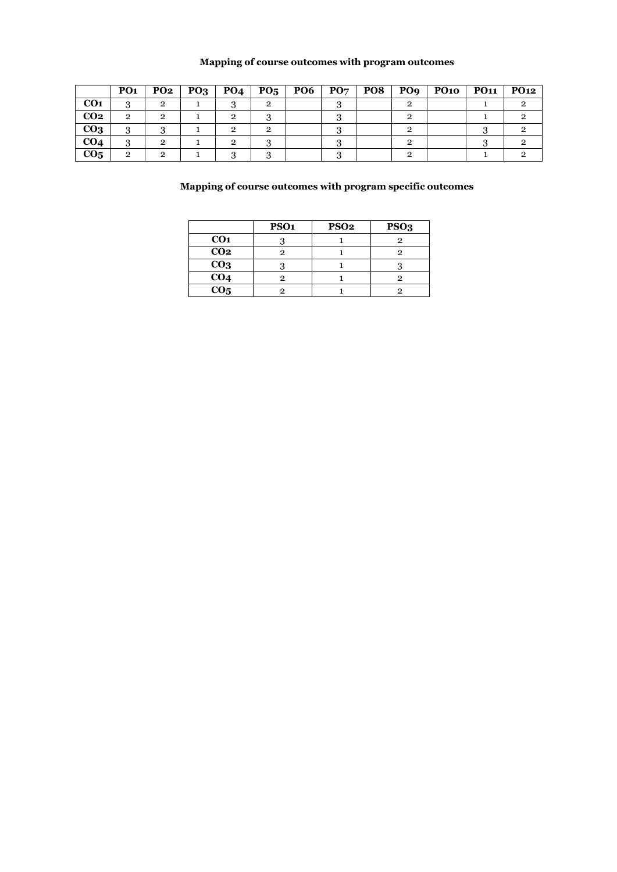# **Mapping of course outcomes with program outcomes**

|                 | PO <sub>1</sub> | PO <sub>2</sub> | PQ <sub>3</sub> | <b>PO4</b> | PO <sub>5</sub> | <b>PO6</b> | PO <sub>7</sub> | PO8 | PO <sub>9</sub> | <b>PO10</b> | <b>PO11</b> | <b>PO12</b> |
|-----------------|-----------------|-----------------|-----------------|------------|-----------------|------------|-----------------|-----|-----------------|-------------|-------------|-------------|
| CO <sub>1</sub> | o               | 2               |                 |            |                 |            |                 |     |                 |             |             |             |
| CO <sub>2</sub> | $\overline{2}$  | റ               |                 |            |                 |            |                 |     |                 |             |             |             |
| CO <sub>3</sub> | 3               |                 |                 | റ          |                 |            |                 |     |                 |             |             |             |
| CO <sub>4</sub> |                 | 2               |                 |            |                 |            |                 |     |                 |             |             |             |
| CO <sub>5</sub> | o               | ົ               |                 |            |                 |            |                 |     |                 |             |             |             |

|                 | PSO <sub>1</sub> | PSO <sub>2</sub> | PSO <sub>3</sub> |
|-----------------|------------------|------------------|------------------|
| CO <sub>1</sub> |                  |                  |                  |
| CO <sub>2</sub> |                  |                  |                  |
| CO <sub>3</sub> |                  |                  |                  |
| CO <sub>4</sub> |                  |                  |                  |
| CO <sub>5</sub> |                  |                  |                  |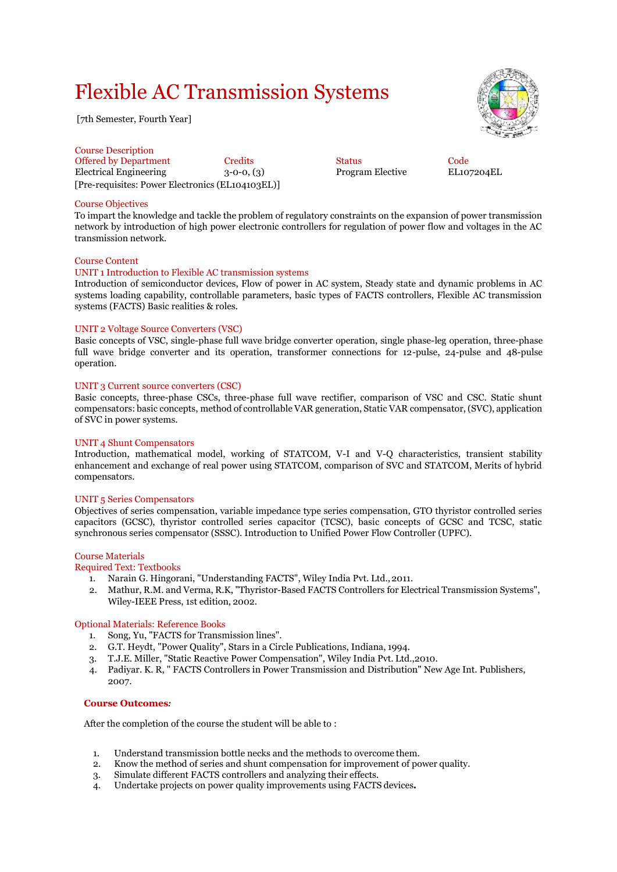# Flexible AC Transmission Systems

[7th Semester, Fourth Year]

Course Description Offered by Department Credits Code<br>
Electrical Engineering 3-0-0, (3) Program Elective EL107204EL Electrical Engineering  $3-0-0$ ,  $(3)$ [Pre-requisites: Power Electronics (EL104103EL)]

# Course Objectives

To impart the knowledge and tackle the problem of regulatory constraints on the expansion of power transmission network by introduction of high power electronic controllers for regulation of power flow and voltages in the AC transmission network.

#### Course Content

#### UNIT 1 Introduction to Flexible AC transmission systems

Introduction of semiconductor devices, Flow of power in AC system, Steady state and dynamic problems in AC systems loading capability, controllable parameters, basic types of FACTS controllers, Flexible AC transmission systems (FACTS) Basic realities & roles.

#### UNIT 2 Voltage Source Converters (VSC)

Basic concepts of VSC, single-phase full wave bridge converter operation, single phase-leg operation, three-phase full wave bridge converter and its operation, transformer connections for 12-pulse, 24-pulse and 48-pulse operation.

#### UNIT 3 Current source converters (CSC)

Basic concepts, three-phase CSCs, three-phase full wave rectifier, comparison of VSC and CSC. Static shunt compensators: basic concepts, method of controllable VAR generation, Static VAR compensator,(SVC), application of SVC in power systems.

#### UNIT 4 Shunt Compensators

Introduction, mathematical model, working of STATCOM, V-I and V-Q characteristics, transient stability enhancement and exchange of real power using STATCOM, comparison of SVC and STATCOM, Merits of hybrid compensators.

#### UNIT 5 Series Compensators

Objectives of series compensation, variable impedance type series compensation, GTO thyristor controlled series capacitors (GCSC), thyristor controlled series capacitor (TCSC), basic concepts of GCSC and TCSC, static synchronous series compensator (SSSC). Introduction to Unified Power Flow Controller (UPFC).

#### Course Materials

# Required Text: Textbooks

- 1. Narain G. Hingorani, "Understanding FACTS", Wiley India Pvt. Ltd., 2011.
- 2. Mathur, R.M. and Verma, R.K, "Thyristor-Based FACTS Controllers for Electrical Transmission Systems", Wiley-IEEE Press, 1st edition, 2002.

#### Optional Materials: Reference Books

- 1. Song, Yu, "FACTS for Transmission lines".
- 2. G.T. Heydt, "Power Quality", Stars in a Circle Publications, Indiana, 1994.
- 3. T.J.E. Miller, "Static Reactive Power Compensation", Wiley India Pvt. Ltd.,2010.
- 4. Padiyar. K. R, " FACTS Controllers in Power Transmission and Distribution" New Age Int. Publishers, 2007.

#### **Course Outcomes***:*

After the completion of the course the student will be able to :

- 1. Understand transmission bottle necks and the methods to overcome them.
- 2. Know the method of series and shunt compensation for improvement of power quality.
- 3. Simulate different FACTS controllers and analyzing their effects.
- 4. Undertake projects on power quality improvements using FACTS devices*.*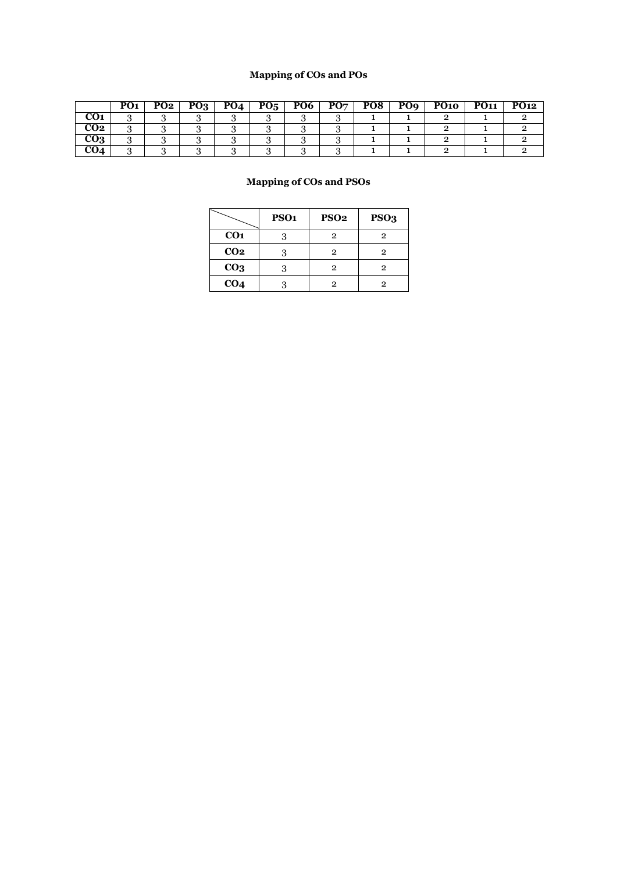# **Mapping of COs and POs**

|            | PO <sub>1</sub> | PO <sub>2</sub> | PO <sub>3</sub> | PO <sub>4</sub> | $P_{05}$ | PO <sub>6</sub> | PO <sub>7</sub> | PO <sub>8</sub> | PO <sub>9</sub> | <b>PO10</b> | <b>PO11</b> | <b>PO12</b> |
|------------|-----------------|-----------------|-----------------|-----------------|----------|-----------------|-----------------|-----------------|-----------------|-------------|-------------|-------------|
| <b>CO1</b> |                 |                 |                 |                 |          |                 |                 |                 |                 |             |             |             |
| CO2        | $\cdot$         |                 |                 |                 |          |                 |                 |                 |                 |             |             |             |
| CO3        |                 |                 |                 |                 |          |                 |                 |                 |                 |             |             |             |
| CO4        |                 |                 |                 |                 |          |                 |                 |                 |                 |             |             |             |

|                 | PSO <sub>1</sub> | <b>PSO2</b>  | PSO <sub>3</sub> |
|-----------------|------------------|--------------|------------------|
| CO <sub>1</sub> |                  | $\mathbf{2}$ | 2                |
| CO <sub>2</sub> |                  | $\mathbf{2}$ | 2                |
| CO <sub>3</sub> |                  | $\mathbf{2}$ | 2                |
| CO <sub>4</sub> |                  | 2            | 2                |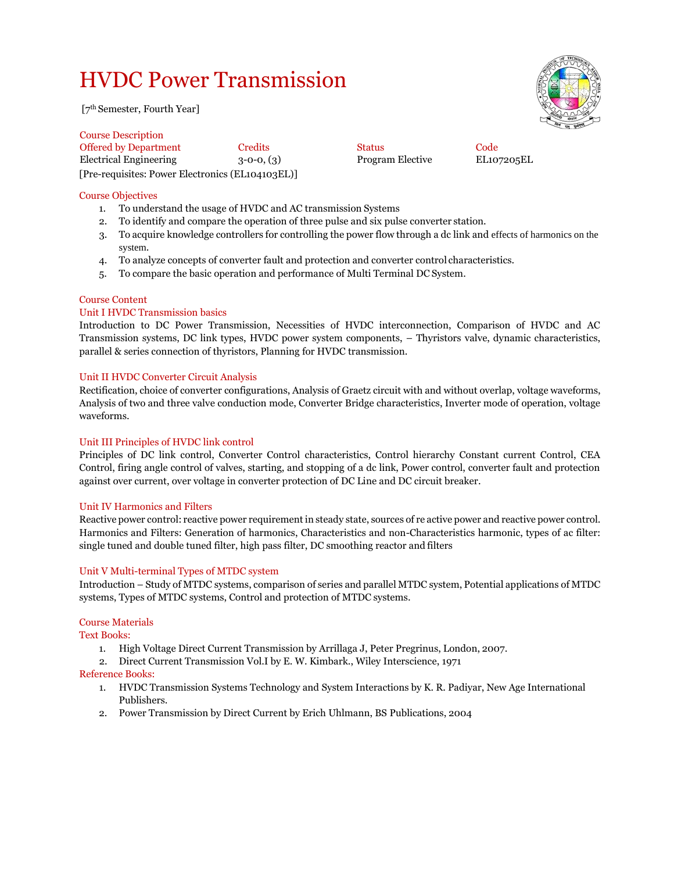# HVDC Power Transmission

[7th Semester, Fourth Year]

Course Description Offered by Department Credits Code Status Code Electrical Engineering 3-0-0, (3) Program Elective EL107205EL [Pre-requisites: Power Electronics (EL104103EL)]

# Course Objectives

- 1. To understand the usage of HVDC and AC transmission Systems
- 2. To identify and compare the operation of three pulse and six pulse converter station.
- 3. To acquire knowledge controllers for controlling the power flow through a dc link and effects of harmonics on the system.
- 4. To analyze concepts of converter fault and protection and converter control characteristics.
- 5. To compare the basic operation and performance of Multi Terminal DC System.

# Course Content

# Unit I HVDC Transmission basics

Introduction to DC Power Transmission, Necessities of HVDC interconnection, Comparison of HVDC and AC Transmission systems, DC link types, HVDC power system components, – Thyristors valve, dynamic characteristics, parallel & series connection of thyristors, Planning for HVDC transmission.

# Unit II HVDC Converter Circuit Analysis

Rectification, choice of converter configurations, Analysis of Graetz circuit with and without overlap, voltage waveforms, Analysis of two and three valve conduction mode, Converter Bridge characteristics, Inverter mode of operation, voltage waveforms.

# Unit III Principles of HVDC link control

Principles of DC link control, Converter Control characteristics, Control hierarchy Constant current Control, CEA Control, firing angle control of valves, starting, and stopping of a dc link, Power control, converter fault and protection against over current, over voltage in converter protection of DC Line and DC circuit breaker.

# Unit IV Harmonics and Filters

Reactive power control: reactive power requirement in steady state, sources of re active power and reactive power control. Harmonics and Filters: Generation of harmonics, Characteristics and non-Characteristics harmonic, types of ac filter: single tuned and double tuned filter, high pass filter, DC smoothing reactor and filters

# Unit V Multi-terminal Types of MTDC system

Introduction – Study of MTDC systems, comparison of series and parallel MTDC system, Potential applications of MTDC systems, Types of MTDC systems, Control and protection of MTDC systems.

## Course Materials

Text Books:

- 1. High Voltage Direct Current Transmission by Arrillaga J, Peter Pregrinus, London, 2007.
- 2. Direct Current Transmission Vol.I by E. W. Kimbark., Wiley Interscience, 1971

## Reference Books:

- 1. HVDC Transmission Systems Technology and System Interactions by K. R. Padiyar, New Age International Publishers.
- 2. Power Transmission by Direct Current by Erich Uhlmann, BS Publications, 2004

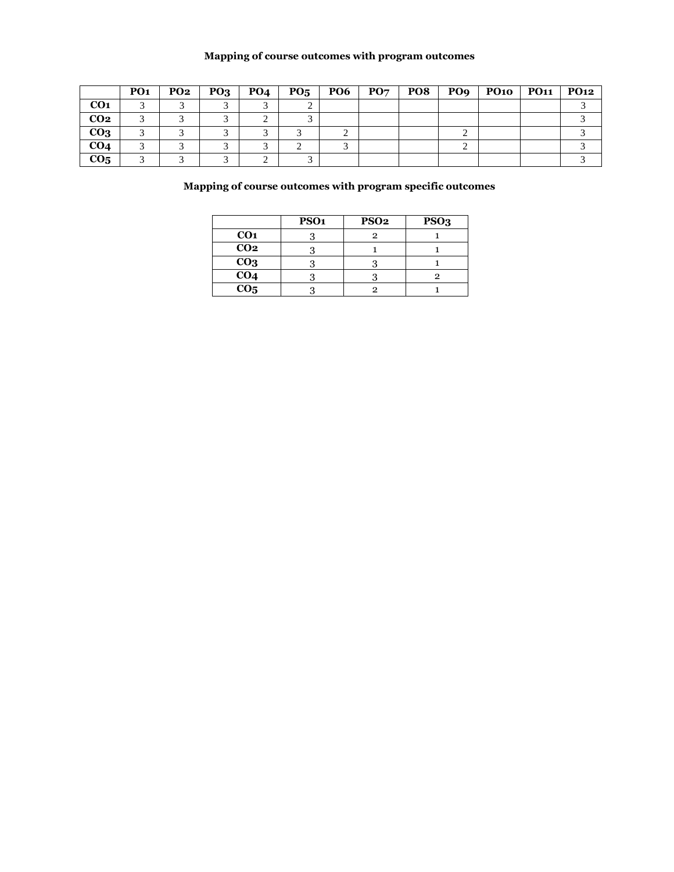# **Mapping of course outcomes with program outcomes**

|                 | PO <sub>1</sub> | PO2 | $PO_3$ | PO4 | $PO5$   PO6 | $\mathbf{P}\mathbf{O}\mathbf{7}$ | PO8 | POq | PO10   PO11   PO12 |  |
|-----------------|-----------------|-----|--------|-----|-------------|----------------------------------|-----|-----|--------------------|--|
| CO <sub>1</sub> |                 |     |        |     |             |                                  |     |     |                    |  |
| CO <sub>2</sub> |                 |     |        |     |             |                                  |     |     |                    |  |
| CO <sub>3</sub> |                 |     |        |     |             |                                  |     |     |                    |  |
| CO <sub>4</sub> |                 |     |        |     |             |                                  |     |     |                    |  |
| CO <sub>5</sub> |                 |     |        |     |             |                                  |     |     |                    |  |

|                 | PSO <sub>1</sub> | PSO <sub>2</sub> | PSO <sub>3</sub> |
|-----------------|------------------|------------------|------------------|
| CO <sub>1</sub> |                  |                  |                  |
| CO <sub>2</sub> |                  |                  |                  |
| CO <sub>3</sub> |                  |                  |                  |
| CO <sub>4</sub> |                  |                  |                  |
| CO <sub>5</sub> |                  |                  |                  |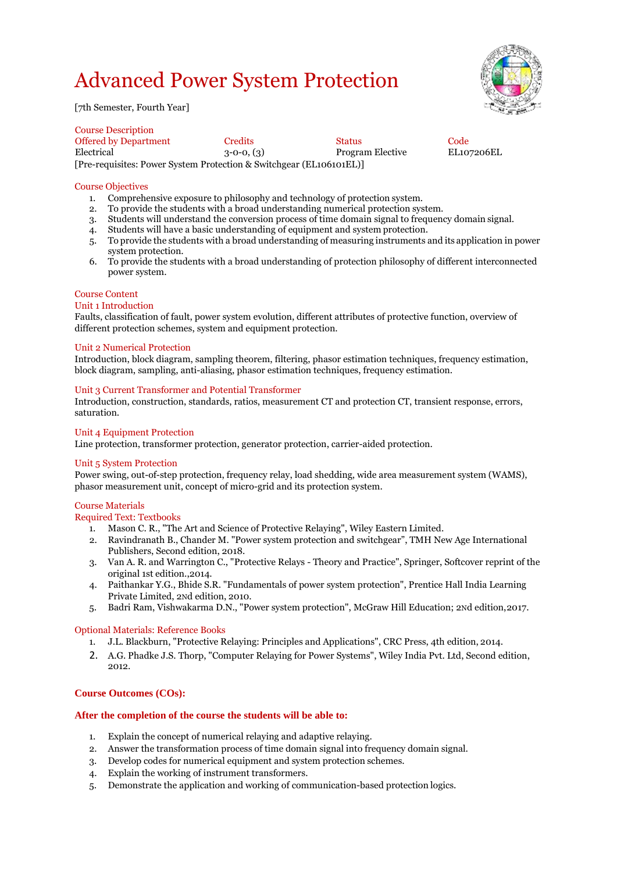# Advanced Power System Protection





Course Description Offered by Department Credits Status Code Program Elective [Pre-requisites: Power System Protection & Switchgear (EL106101EL)]

# Course Objectives

- 1. Comprehensive exposure to philosophy and technology of protection system.
- 2. To provide the students with a broad understanding numerical protection system.
- 3. Students will understand the conversion process of time domain signal to frequency domain signal.
- 4. Students will have a basic understanding of equipment and system protection.
- 5. To provide the students with a broad understanding of measuring instruments and its application in power system protection.
- 6. To provide the students with a broad understanding of protection philosophy of different interconnected power system.

# Course Content

Unit 1 Introduction

Faults, classification of fault, power system evolution, different attributes of protective function, overview of different protection schemes, system and equipment protection.

#### Unit 2 Numerical Protection

Introduction, block diagram, sampling theorem, filtering, phasor estimation techniques, frequency estimation, block diagram, sampling, anti-aliasing, phasor estimation techniques, frequency estimation.

#### Unit 3 Current Transformer and Potential Transformer

Introduction, construction, standards, ratios, measurement CT and protection CT, transient response, errors, saturation.

# Unit 4 Equipment Protection

Line protection, transformer protection, generator protection, carrier-aided protection.

#### Unit 5 System Protection

Power swing, out-of-step protection, frequency relay, load shedding, wide area measurement system (WAMS), phasor measurement unit, concept of micro-grid and its protection system.

#### Course Materials

Required Text: Textbooks

- 1. Mason C. R., "The Art and Science of Protective Relaying", Wiley Eastern Limited.
- 2. Ravindranath B., Chander M. "Power system protection and switchgear", TMH New Age International Publishers, Second edition, 2018.
- 3. Van A. R. and Warrington C., "Protective Relays Theory and Practice", Springer, Softcover reprint of the original 1st edition.,2014.
- 4. Paithankar Y.G., Bhide S.R. "Fundamentals of power system protection", Prentice Hall India Learning Private Limited, 2Nd edition, 2010.
- 5. Badri Ram, Vishwakarma D.N., "Power system protection", McGraw Hill Education; 2Nd edition,2017.

#### Optional Materials: Reference Books

- 1. J.L. Blackburn, "Protective Relaying: Principles and Applications", CRC Press, 4th edition, 2014.
- 2. A.G. Phadke J.S. Thorp, "Computer Relaying for Power Systems", Wiley India Pvt. Ltd, Second edition, 2012.

# **Course Outcomes (COs):**

#### **After the completion of the course the students will be able to:**

- 1. Explain the concept of numerical relaying and adaptive relaying.
- 2. Answer the transformation process of time domain signal into frequency domain signal.
- 3. Develop codes for numerical equipment and system protection schemes.
- 4. Explain the working of instrument transformers.
- 5. Demonstrate the application and working of communication-based protection logics.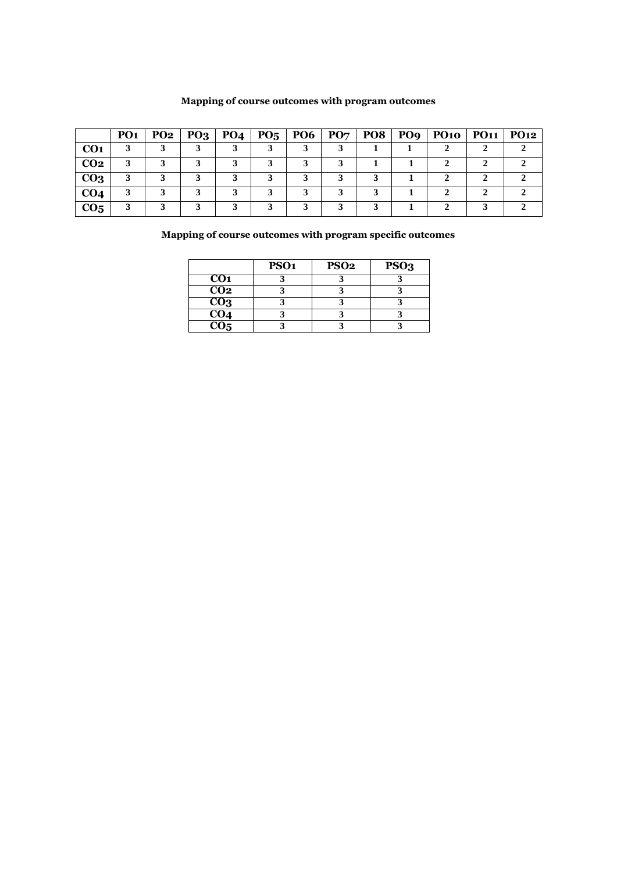# **Mapping of course outcomes with program outcomes**

|                 | <b>PO1</b> | PO2 | $PO_3   PO_4   PO_5   PO_6   PO_7  $ |  |  | POS   PO9   PO10   PO11   PO12 |  |
|-----------------|------------|-----|--------------------------------------|--|--|--------------------------------|--|
| CO <sub>1</sub> |            |     |                                      |  |  |                                |  |
| CO <sub>2</sub> |            |     |                                      |  |  |                                |  |
| CO <sub>3</sub> |            |     |                                      |  |  |                                |  |
| CO <sub>4</sub> |            |     |                                      |  |  |                                |  |
| CO <sub>5</sub> |            |     |                                      |  |  |                                |  |

|                                         | PSO <sub>1</sub> | PSO <sub>2</sub> | PSO <sub>3</sub> |
|-----------------------------------------|------------------|------------------|------------------|
| CO <sub>1</sub>                         |                  |                  |                  |
| C <sub>02</sub>                         |                  |                  |                  |
| CO <sub>3</sub>                         |                  |                  |                  |
| $\frac{\overline{CO4}}{\overline{CO5}}$ |                  |                  |                  |
|                                         |                  |                  |                  |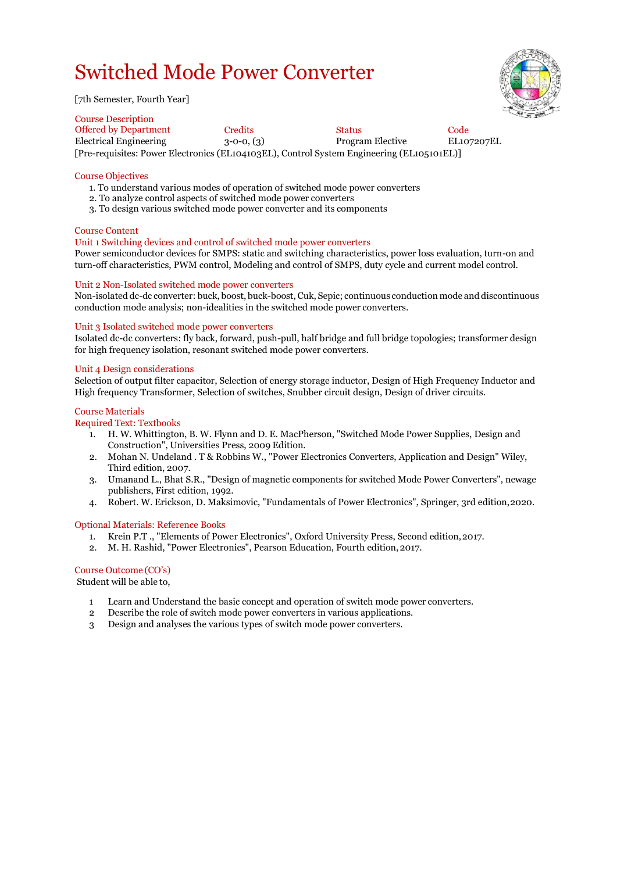# Switched Mode Power Converter

[7th Semester, Fourth Year]

Course Description Offered by Department Credits Status Code Electrical Engineering 3-0-0, (3) Program Elective EL107207EL [Pre-requisites: Power Electronics (EL104103EL), Control System Engineering (EL105101EL)]

## Course Objectives

- 1. To understand various modes of operation of switched mode power converters
- 2. To analyze control aspects of switched mode power converters
- 3. To design various switched mode power converter and its components

# Course Content

# Unit 1 Switching devices and control of switched mode power converters

Power semiconductor devices for SMPS: static and switching characteristics, power loss evaluation, turn-on and turn-off characteristics, PWM control, Modeling and control of SMPS, duty cycle and current model control.

# Unit 2 Non-Isolated switched mode power converters

Non-isolated dc-dc converter: buck, boost, buck-boost, Cuk, Sepic; continuous conduction mode and discontinuous conduction mode analysis; non-idealities in the switched mode power converters.

#### Unit 3 Isolated switched mode power converters

Isolated dc-dc converters: fly back, forward, push-pull, half bridge and full bridge topologies; transformer design for high frequency isolation, resonant switched mode power converters.

# Unit 4 Design considerations

Selection of output filter capacitor, Selection of energy storage inductor, Design of High Frequency Inductor and High frequency Transformer, Selection of switches, Snubber circuit design, Design of driver circuits.

#### Course Materials

# Required Text: Textbooks

- 1. H. W. Whittington, B. W. Flynn and D. E. MacPherson, "Switched Mode Power Supplies, Design and Construction", Universities Press, 2009 Edition.
- 2. Mohan N. Undeland . T & Robbins W., "Power Electronics Converters, Application and Design" Wiley, Third edition, 2007.
- 3. Umanand L., Bhat S.R., "Design of magnetic components for switched Mode Power Converters", newage publishers, First edition, 1992.
- 4. Robert. W. Erickson, D. Maksimovic, "Fundamentals of Power Electronics", Springer, 3rd edition,2020.

#### Optional Materials: Reference Books

- 1. Krein P.T ., "Elements of Power Electronics", Oxford University Press, Second edition,2017.
- 2. M. H. Rashid, "Power Electronics", Pearson Education, Fourth edition,2017.

# Course Outcome (CO's)

Student will be able to,

- 1 Learn and Understand the basic concept and operation of switch mode power converters.
- 2 Describe the role of switch mode power converters in various applications.
- 3 Design and analyses the various types of switch mode power converters.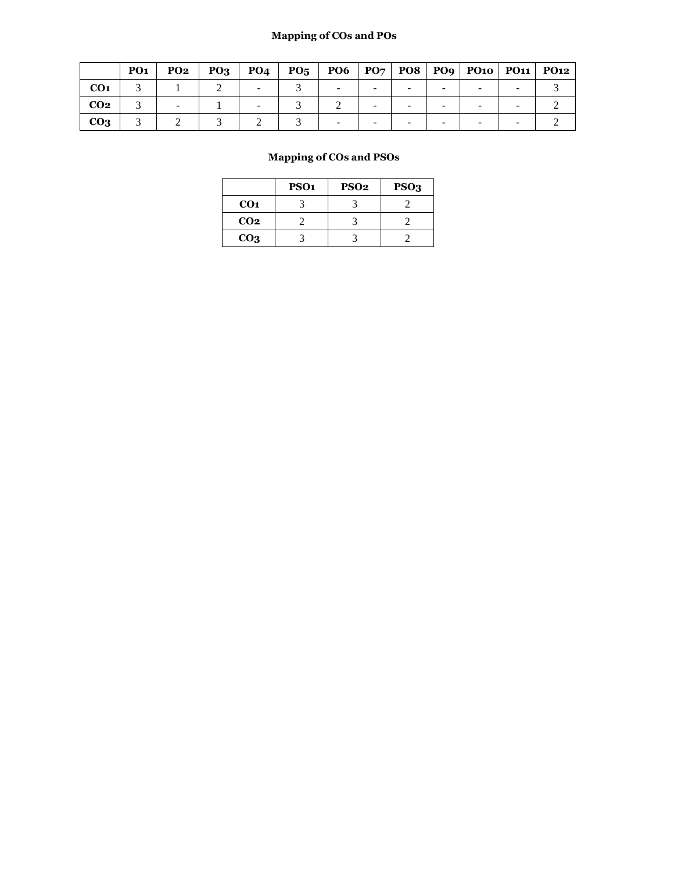# **Mapping of COs and POs**

|                 | <b>PO1</b> | <b>PO2</b> | <b>PO3</b> | PO <sub>4</sub> | PO <sub>5</sub> | <b>PO6</b> |  | PO7   PO8   PO9   PO10   PO11   PO12 |  |
|-----------------|------------|------------|------------|-----------------|-----------------|------------|--|--------------------------------------|--|
| CO <sub>1</sub> |            |            |            |                 |                 |            |  |                                      |  |
| CO <sub>2</sub> |            |            |            |                 |                 |            |  |                                      |  |
| CO <sub>3</sub> |            |            |            |                 |                 |            |  |                                      |  |

|                 | PSO <sub>1</sub> | PSO <sub>2</sub> | PSO <sub>3</sub> |
|-----------------|------------------|------------------|------------------|
| CO <sub>1</sub> |                  |                  |                  |
| CO <sub>2</sub> |                  |                  |                  |
| CO <sub>3</sub> |                  |                  |                  |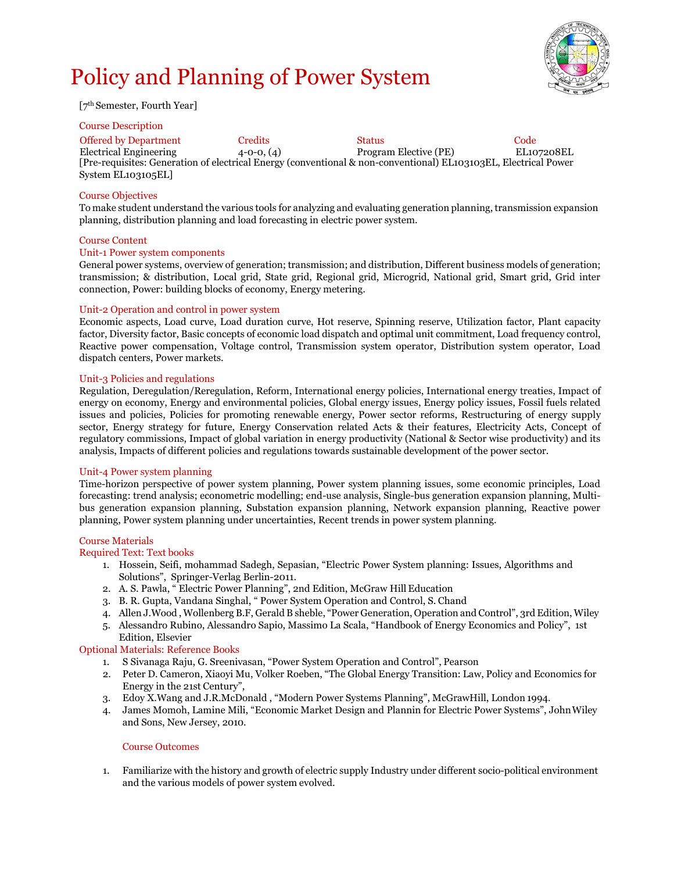# Policy and Planning of Power System



[7th Semester, Fourth Year]

#### Course Description

[Pre-requisites: Generation of electrical Energy (conventional & non-conventional) EL103103EL, Electrical Power System EL103105EL] Offered by Department Credits Status Code Electrical Engineering 4-0-0, (4) Program Elective (PE) EL107208EL

#### Course Objectives

To make student understand the various tools for analyzing and evaluating generation planning, transmission expansion planning, distribution planning and load forecasting in electric power system.

#### Course Content

#### Unit-1 Power system components

General power systems, overview of generation; transmission; and distribution, Different business models of generation; transmission; & distribution, Local grid, State grid, Regional grid, Microgrid, National grid, Smart grid, Grid inter connection, Power: building blocks of economy, Energy metering.

## Unit-2 Operation and control in power system

Economic aspects, Load curve, Load duration curve, Hot reserve, Spinning reserve, Utilization factor, Plant capacity factor, Diversity factor, Basic concepts of economic load dispatch and optimal unit commitment, Load frequency control, Reactive power compensation, Voltage control, Transmission system operator, Distribution system operator, Load dispatch centers, Power markets.

## Unit-3 Policies and regulations

Regulation, Deregulation/Reregulation, Reform, International energy policies, International energy treaties, Impact of energy on economy, Energy and environmental policies, Global energy issues, Energy policy issues, Fossil fuels related issues and policies, Policies for promoting renewable energy, Power sector reforms, Restructuring of energy supply sector, Energy strategy for future, Energy Conservation related Acts & their features, Electricity Acts, Concept of regulatory commissions, Impact of global variation in energy productivity (National & Sector wise productivity) and its analysis, Impacts of different policies and regulations towards sustainable development of the power sector.

## Unit-4 Power system planning

Time-horizon perspective of power system planning, Power system planning issues, some economic principles, Load forecasting: trend analysis; econometric modelling; end-use analysis, Single-bus generation expansion planning, Multibus generation expansion planning, Substation expansion planning, Network expansion planning, Reactive power planning, Power system planning under uncertainties, Recent trends in power system planning.

#### Course Materials

## Required Text: Text books

- 1. Hossein, Seifi, mohammad Sadegh, Sepasian, "Electric Power System planning: Issues, Algorithms and Solutions", Springer-Verlag Berlin-2011.
- 2. A. S. Pawla, " Electric Power Planning", 2nd Edition, McGraw Hill Education
- 3. B. R. Gupta, Vandana Singhal, " Power System Operation and Control, S. Chand
- 4. Allen J.Wood , Wollenberg B.F, Gerald B sheble, "Power Generation, Operation and Control", 3rd Edition, Wiley
- 5. Alessandro Rubino, Alessandro Sapio, Massimo La Scala, "Handbook of Energy Economics and Policy", 1st Edition, Elsevier

# Optional Materials: Reference Books

- 1. S Sivanaga Raju, G. Sreenivasan, "Power System Operation and Control", Pearson
- 2. Peter D. Cameron, Xiaoyi Mu, Volker Roeben, "The Global Energy Transition: Law, Policy and Economics for Energy in the 21st Century",
- 3. Edoy X.Wang and J.R.McDonald , "Modern Power Systems Planning", McGrawHill, London 1994.
- 4. James Momoh, Lamine Mili, "Economic Market Design and Plannin for Electric Power Systems", JohnWiley and Sons, New Jersey, 2010.

#### Course Outcomes

1. Familiarize with the history and growth of electric supply Industry under different socio-political environment and the various models of power system evolved.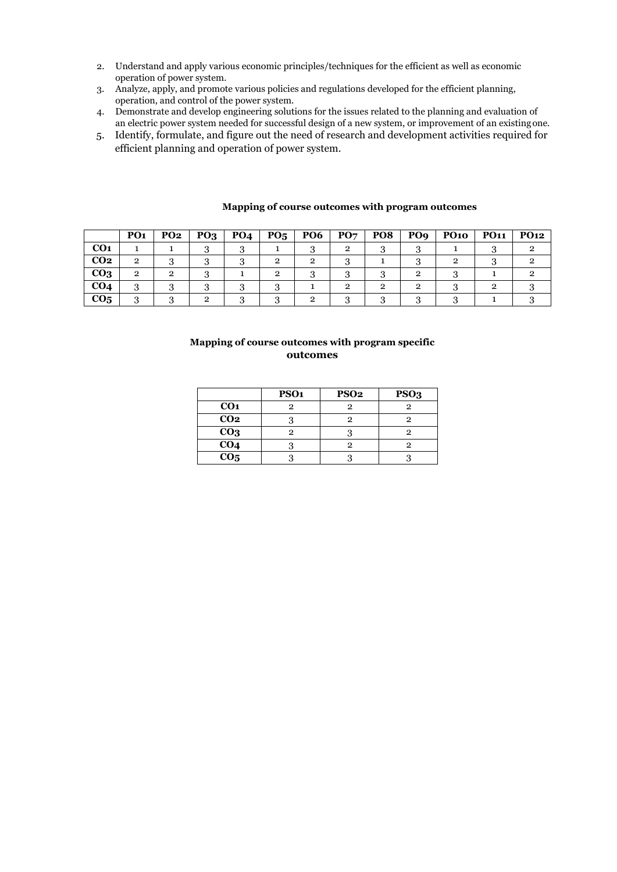- 2. Understand and apply various economic principles/techniques for the efficient as well as economic operation of power system.
- 3. Analyze, apply, and promote various policies and regulations developed for the efficient planning, operation, and control of the power system.
- 4. Demonstrate and develop engineering solutions for the issues related to the planning and evaluation of an electric power system needed for successful design of a new system, or improvement of an existingone.
- 5. Identify, formulate, and figure out the need of research and development activities required for efficient planning and operation of power system.

|                 | PO <sub>1</sub> | <b>PO2</b> | PQ <sub>3</sub> | PO <sub>4</sub> | $P_{05}$ | <b>PO6</b> | PO7 | PO <sub>8</sub> | PO <sub>9</sub> | <b>PO10</b> | <b>PO11</b> | <b>PO12</b> |
|-----------------|-----------------|------------|-----------------|-----------------|----------|------------|-----|-----------------|-----------------|-------------|-------------|-------------|
| CO <sub>1</sub> |                 |            |                 |                 |          |            |     |                 |                 |             |             |             |
| CO <sub>2</sub> | $\mathbf{2}$    |            |                 |                 |          | റ          |     |                 |                 |             |             |             |
| CO <sub>3</sub> | 2               | റ          |                 |                 |          |            |     |                 |                 |             |             |             |
| CO <sub>4</sub> | റ<br>د          |            |                 |                 |          |            |     | റ               |                 |             |             |             |
| CO <sub>5</sub> | $\Omega$<br>. . |            |                 |                 |          |            |     |                 |                 |             |             |             |

# **Mapping of course outcomes with program outcomes**

|                 | PSO <sub>1</sub> | PSO <sub>2</sub> | PSO <sub>3</sub> |
|-----------------|------------------|------------------|------------------|
| CO <sub>1</sub> |                  |                  |                  |
| CO <sub>2</sub> |                  | 9                | റ                |
| CO <sub>3</sub> |                  |                  |                  |
| CO <sub>4</sub> |                  |                  |                  |
| CO <sub>5</sub> |                  |                  |                  |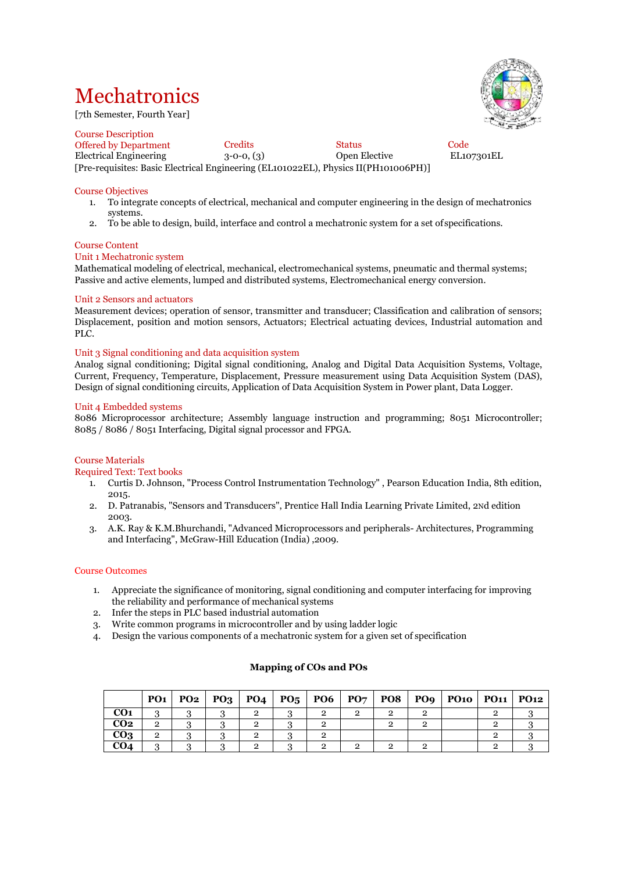# **Mechatronics**

[7th Semester, Fourth Year]

Course Description Offered by Department Credits Code<br>
Electrical Engineering 3-0-0, (3) Open Elective EL107301EL Electrical Engineering  $3-0-0$ ,  $(3)$ [Pre-requisites: Basic Electrical Engineering (EL101022EL), Physics II(PH101006PH)]

# Course Objectives

- 1. To integrate concepts of electrical, mechanical and computer engineering in the design of mechatronics systems.
- 2. To be able to design, build, interface and control a mechatronic system for a set of specifications.

# Course Content

## Unit 1 Mechatronic system

Mathematical modeling of electrical, mechanical, electromechanical systems, pneumatic and thermal systems; Passive and active elements, lumped and distributed systems, Electromechanical energy conversion.

#### Unit 2 Sensors and actuators

Measurement devices; operation of sensor, transmitter and transducer; Classification and calibration of sensors; Displacement, position and motion sensors, Actuators; Electrical actuating devices, Industrial automation and PLC.

#### Unit 3 Signal conditioning and data acquisition system

Analog signal conditioning; Digital signal conditioning, Analog and Digital Data Acquisition Systems, Voltage, Current, Frequency, Temperature, Displacement, Pressure measurement using Data Acquisition System (DAS), Design of signal conditioning circuits, Application of Data Acquisition System in Power plant, Data Logger.

#### Unit 4 Embedded systems

8086 Microprocessor architecture; Assembly language instruction and programming; 8051 Microcontroller; 8085 / 8086 / 8051 Interfacing, Digital signal processor and FPGA.

#### Course Materials

Required Text: Text books

- 1. Curtis D. Johnson, "Process Control Instrumentation Technology" , Pearson Education India, 8th edition, 2015.
- 2. D. Patranabis, "Sensors and Transducers", Prentice Hall India Learning Private Limited, 2Nd edition 2003.
- 3. A.K. Ray & K.M.Bhurchandi, "Advanced Microprocessors and peripherals- Architectures, Programming and Interfacing", McGraw-Hill Education (India) ,2009.

#### Course Outcomes

- 1. Appreciate the significance of monitoring, signal conditioning and computer interfacing for improving the reliability and performance of mechanical systems
- 2. Infer the steps in PLC based industrial automation
- 3. Write common programs in microcontroller and by using ladder logic
- 4. Design the various components of a mechatronic system for a given set of specification

|                 |   |  | PO1   PO2   PO3   PO4   PO5   PO6 |  |  | PO7   PO8   PO9   PO10   PO11   PO12 |  |
|-----------------|---|--|-----------------------------------|--|--|--------------------------------------|--|
| CO <sub>1</sub> |   |  |                                   |  |  |                                      |  |
| CO <sub>2</sub> | C |  |                                   |  |  |                                      |  |
| CO <sub>3</sub> |   |  |                                   |  |  |                                      |  |
| CO <sub>4</sub> |   |  |                                   |  |  |                                      |  |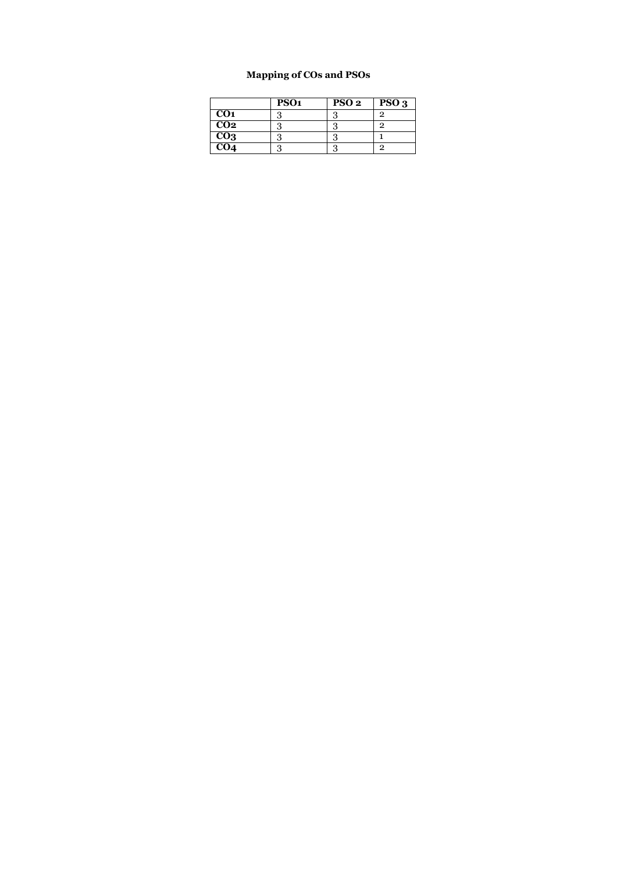|                 | PSO <sub>1</sub> | PSO <sub>2</sub> | PSO <sub>3</sub> |
|-----------------|------------------|------------------|------------------|
| CO <sub>1</sub> |                  |                  | っ                |
| CO <sub>2</sub> |                  |                  | っ                |
| CO <sub>3</sub> |                  |                  |                  |
| CO <sub>4</sub> |                  |                  | റ                |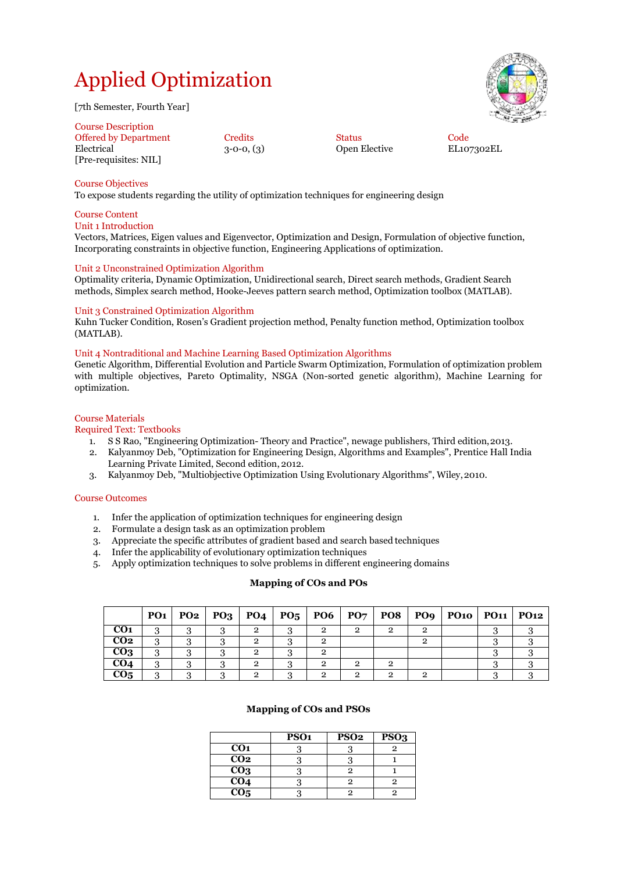# Applied Optimization

[7th Semester, Fourth Year]

| <b>Course Description</b>           |              |               |      |
|-------------------------------------|--------------|---------------|------|
| <b>Offered by Department</b>        | Credits      | <b>Status</b> | Code |
| Electrical<br>[Pre-requisites: NIL] | $3-0-0, (3)$ | Open Elective | EL10 |

3-0-0, (3) Open Elective EL107302EL

# Course Objectives

To expose students regarding the utility of optimization techniques for engineering design

# Course Content

# Unit 1 Introduction

Vectors, Matrices, Eigen values and Eigenvector, Optimization and Design, Formulation of objective function, Incorporating constraints in objective function, Engineering Applications of optimization.

# Unit 2 Unconstrained Optimization Algorithm

Optimality criteria, Dynamic Optimization, Unidirectional search, Direct search methods, Gradient Search methods, Simplex search method, Hooke-Jeeves pattern search method, Optimization toolbox (MATLAB).

# Unit 3 Constrained Optimization Algorithm

Kuhn Tucker Condition, Rosen's Gradient projection method, Penalty function method, Optimization toolbox (MATLAB).

# Unit 4 Nontraditional and Machine Learning Based Optimization Algorithms

Genetic Algorithm, Differential Evolution and Particle Swarm Optimization, Formulation of optimization problem with multiple objectives, Pareto Optimality, NSGA (Non-sorted genetic algorithm), Machine Learning for optimization.

# Course Materials

# Required Text: Textbooks

- 1. S S Rao, "Engineering Optimization- Theory and Practice", newage publishers, Third edition,2013.
- 2. Kalyanmoy Deb, "Optimization for Engineering Design, Algorithms and Examples", Prentice Hall India Learning Private Limited, Second edition, 2012.
- 3. Kalyanmoy Deb, "Multiobjective Optimization Using Evolutionary Algorithms", Wiley,2010.

# Course Outcomes

- 1. Infer the application of optimization techniques for engineering design 2. Formulate a design task as an optimization problem
- 2. Formulate a design task as an optimization problem
- 3. Appreciate the specific attributes of gradient based and search based techniques
- 4. Infer the applicability of evolutionary optimization techniques
- 5. Apply optimization techniques to solve problems in different engineering domains

## **Mapping of COs and POs**

|                 | PQ1 |   |                |   |                | $PQ2   PQ3   PQ4   PQ5   PQ6   PQ7   PQ8   PQ9   PQ10   PQ11   PQ12$ |  |
|-----------------|-----|---|----------------|---|----------------|----------------------------------------------------------------------|--|
| CO <sub>1</sub> |     |   | 2              |   | $\mathfrak{p}$ |                                                                      |  |
| CO <sub>2</sub> | 2   |   | $\mathbf{2}$   | റ |                |                                                                      |  |
| CO <sub>3</sub> |     |   | $\mathbf{2}$   |   |                |                                                                      |  |
| CO <sub>4</sub> | റ   | ົ | $\mathbf{2}$   | റ | 2              |                                                                      |  |
| CO <sub>5</sub> |     | റ | $\mathfrak{p}$ |   | റ              |                                                                      |  |

|                  | PSO <sub>1</sub> | PSO <sub>2</sub> | PSO <sub>3</sub> |
|------------------|------------------|------------------|------------------|
| CO <sub>1</sub>  |                  |                  |                  |
| CO <sub>2</sub>  |                  |                  |                  |
| CO <sub>3</sub>  |                  |                  |                  |
| $\overline{CO4}$ |                  | 2                |                  |
| CO <sub>5</sub>  |                  |                  |                  |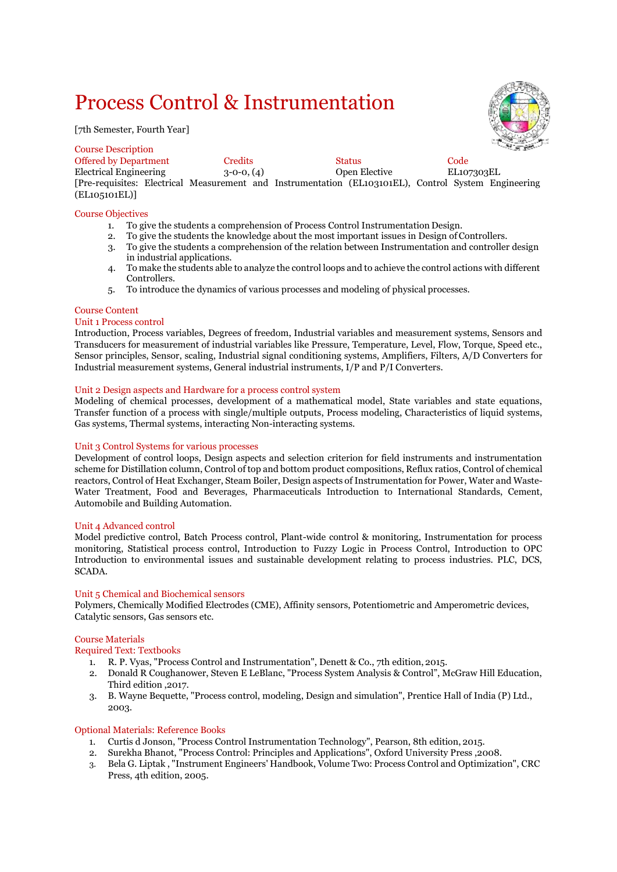# Process Control & Instrumentation

[7th Semester, Fourth Year]



| <b>Course Description</b>    |              |                                                                                                      | <b>CONTRACTOR</b> |
|------------------------------|--------------|------------------------------------------------------------------------------------------------------|-------------------|
| <b>Offered by Department</b> | Credits      | <b>Status</b>                                                                                        | Code              |
| Electrical Engineering       | $3-0-0, (4)$ | Open Elective                                                                                        | EL107303EL        |
|                              |              | [Pre-requisites: Electrical Measurement and Instrumentation (EL103101EL), Control System Engineering |                   |
| (EL105101EL)                 |              |                                                                                                      |                   |

# Course Objectives

- 1. To give the students a comprehension of Process Control Instrumentation Design.
- 2. To give the students the knowledge about the most important issues in Design of Controllers.
- 3. To give the students a comprehension of the relation between Instrumentation and controller design in industrial applications.
- 4. To make the students able to analyze the control loops and to achieve the control actions with different Controllers.
- 5. To introduce the dynamics of various processes and modeling of physical processes.

#### Course Content

#### Unit 1 Process control

Introduction, Process variables, Degrees of freedom, Industrial variables and measurement systems, Sensors and Transducers for measurement of industrial variables like Pressure, Temperature, Level, Flow, Torque, Speed etc., Sensor principles, Sensor, scaling, Industrial signal conditioning systems, Amplifiers, Filters, A/D Converters for Industrial measurement systems, General industrial instruments, I/P and P/I Converters.

## Unit 2 Design aspects and Hardware for a process control system

Modeling of chemical processes, development of a mathematical model, State variables and state equations, Transfer function of a process with single/multiple outputs, Process modeling, Characteristics of liquid systems, Gas systems, Thermal systems, interacting Non-interacting systems.

#### Unit 3 Control Systems for various processes

Development of control loops, Design aspects and selection criterion for field instruments and instrumentation scheme for Distillation column, Control of top and bottom product compositions, Reflux ratios, Control of chemical reactors, Control of Heat Exchanger, Steam Boiler, Design aspects of Instrumentation for Power, Water and Waste-Water Treatment, Food and Beverages, Pharmaceuticals Introduction to International Standards, Cement, Automobile and Building Automation.

## Unit 4 Advanced control

Model predictive control, Batch Process control, Plant-wide control & monitoring, Instrumentation for process monitoring, Statistical process control, Introduction to Fuzzy Logic in Process Control, Introduction to OPC Introduction to environmental issues and sustainable development relating to process industries. PLC, DCS, SCADA.

#### Unit 5 Chemical and Biochemical sensors

Polymers, Chemically Modified Electrodes (CME), Affinity sensors, Potentiometric and Amperometric devices, Catalytic sensors, Gas sensors etc.

#### Course Materials

Required Text: Textbooks

- 1. R. P. Vyas, "Process Control and Instrumentation", Denett & Co., 7th edition,2015.
- 2. Donald R Coughanower, Steven E LeBlanc, "Process System Analysis & Control", McGraw Hill Education, Third edition ,2017.
- 3. B. Wayne Bequette, "Process control, modeling, Design and simulation", Prentice Hall of India (P) Ltd., 2003.

## Optional Materials: Reference Books

- 1. Curtis d Jonson, "Process Control Instrumentation Technology", Pearson, 8th edition, 2015.
- 2. Surekha Bhanot, "Process Control: Principles and Applications", Oxford University Press ,2008.
- 3. Bela G. Liptak , "Instrument Engineers' Handbook, Volume Two: Process Control and Optimization", CRC Press, 4th edition, 2005.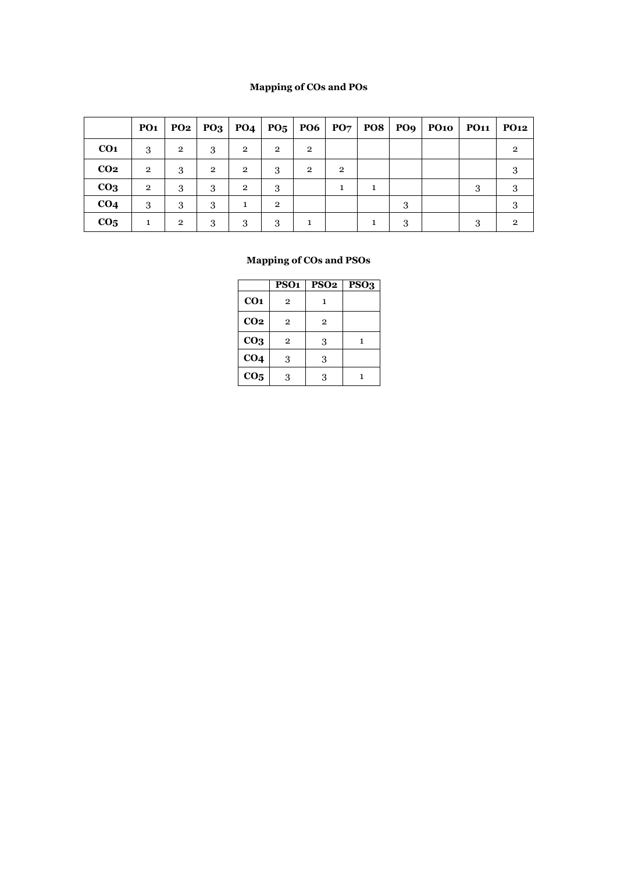# **Mapping of COs and POs**

|                 | PO <sub>1</sub> | PO2            | $PQ_3$         | PO <sub>4</sub> |                | $P05$   PO6  | P07            |   |   | POS   PO9   PO10 | <b>PO11</b> | <b>PO12</b>    |
|-----------------|-----------------|----------------|----------------|-----------------|----------------|--------------|----------------|---|---|------------------|-------------|----------------|
| CO <sub>1</sub> | 3               | $\overline{2}$ | 3              | $\mathbf{2}$    | $\overline{2}$ | $\mathbf{2}$ |                |   |   |                  |             | $\mathfrak{D}$ |
| CO <sub>2</sub> | $\overline{2}$  | 3              | $\overline{2}$ | $\overline{2}$  | 3              | $\mathbf{2}$ | $\overline{2}$ |   |   |                  |             | 3              |
| CO <sub>3</sub> | $\overline{2}$  | 3              | 3              | $\overline{2}$  | 3              |              |                | 1 |   |                  | 3           | 3              |
| CO <sub>4</sub> | 3               | 3              | 3              | 1               | $\overline{2}$ |              |                |   | 3 |                  |             | 3              |
| CO <sub>5</sub> |                 | $\overline{2}$ | 3              | 3               | 3              |              |                |   | 3 |                  | 3           | $\mathfrak{D}$ |

|                 | PSO <sub>1</sub> | <b>PSO2</b>  | $\overline{PSO}_3$ |
|-----------------|------------------|--------------|--------------------|
| CO <sub>1</sub> | $\overline{2}$   | 1            |                    |
| CO <sub>2</sub> | 2                | $\mathbf{2}$ |                    |
| CO <sub>3</sub> | $\overline{2}$   | 3            | 1                  |
| CO <sub>4</sub> | 3                | 3            |                    |
| CO <sub>5</sub> | 3                | 3            |                    |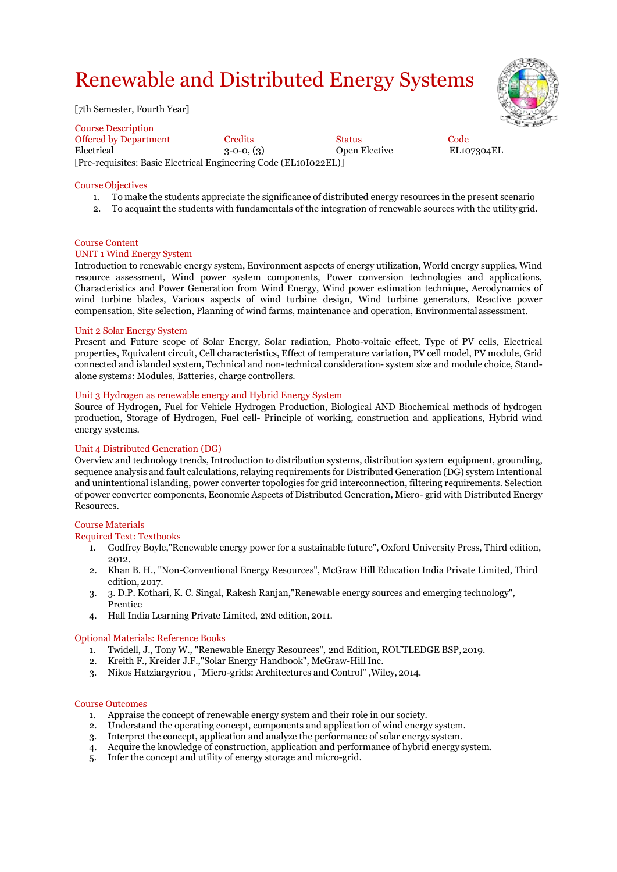# Renewable and Distributed Energy Systems

[7th Semester, Fourth Year]

Course Description Offered by Department Credits Status Code Electrical 3-0-0, (3) Open Elective EL107304EL [Pre-requisites: Basic Electrical Engineering Code (EL10I022EL)]

Course Objectives

- 1. To make the students appreciate the significance of distributed energy resources in the present scenario
- 2. To acquaint the students with fundamentals of the integration of renewable sources with the utility grid.

# Course Content

# UNIT 1 Wind Energy System

Introduction to renewable energy system, Environment aspects of energy utilization, World energy supplies, Wind resource assessment, Wind power system components, Power conversion technologies and applications, Characteristics and Power Generation from Wind Energy, Wind power estimation technique, Aerodynamics of wind turbine blades, Various aspects of wind turbine design, Wind turbine generators, Reactive power compensation, Site selection, Planning of wind farms, maintenance and operation, Environmentalassessment.

#### Unit 2 Solar Energy System

Present and Future scope of Solar Energy, Solar radiation, Photo-voltaic effect, Type of PV cells, Electrical properties, Equivalent circuit, Cell characteristics, Effect of temperature variation, PV cell model, PV module, Grid connected and islanded system, Technical and non-technical consideration- system size and module choice, Standalone systems: Modules, Batteries, charge controllers.

#### Unit 3 Hydrogen as renewable energy and Hybrid Energy System

Source of Hydrogen, Fuel for Vehicle Hydrogen Production, Biological AND Biochemical methods of hydrogen production, Storage of Hydrogen, Fuel cell- Principle of working, construction and applications, Hybrid wind energy systems.

## Unit 4 Distributed Generation (DG)

Overview and technology trends, Introduction to distribution systems, distribution system equipment, grounding, sequence analysis and fault calculations, relaying requirements for Distributed Generation (DG) system Intentional and unintentional islanding, power converter topologies for grid interconnection, filtering requirements. Selection of power converter components, Economic Aspects of Distributed Generation, Micro- grid with Distributed Energy Resources.

#### Course Materials

#### Required Text: Textbooks

- 1. Godfrey Boyle,"Renewable energy power for a sustainable future", Oxford University Press, Third edition, 2012.
- 2. Khan B. H., "Non-Conventional Energy Resources", McGraw Hill Education India Private Limited, Third edition, 2017.
- 3. 3. D.P. Kothari, K. C. Singal, Rakesh Ranjan,"Renewable energy sources and emerging technology", Prentice
- 4. Hall India Learning Private Limited, 2Nd edition,2011.

#### Optional Materials: Reference Books

- 1. Twidell, J., Tony W., "Renewable Energy Resources", 2nd Edition, ROUTLEDGE BSP,2019.
- 2. Kreith F., Kreider J.F.,"Solar Energy Handbook", McGraw-Hill Inc.
- 3. Nikos Hatziargyriou , "Micro-grids: Architectures and Control" ,Wiley, 2014.

#### Course Outcomes

- 1. Appraise the concept of renewable energy system and their role in our society.
- 2. Understand the operating concept, components and application of wind energy system.
- 3. Interpret the concept, application and analyze the performance of solar energy system.
- 4. Acquire the knowledge of construction, application and performance of hybrid energy system.
- 5. Infer the concept and utility of energy storage and micro-grid.

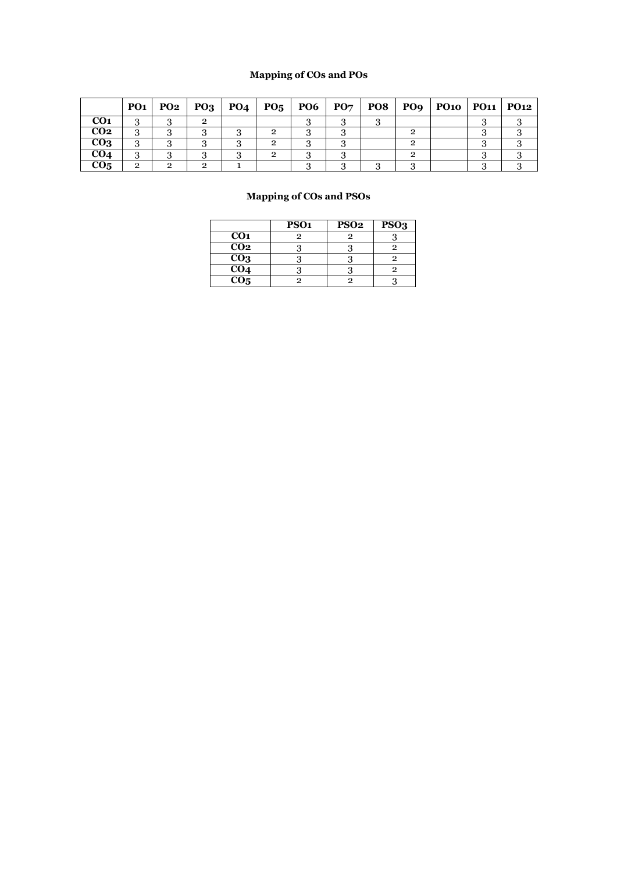# **Mapping of COs and POs**

|                 | <b>PO1</b> |   |   |  |  |  | $PQ2   PQ3   PQ4   PQ5   PQ6   PQ7   PQ8   PQ9   PQ10   PQ11   PQ12$ |  |
|-----------------|------------|---|---|--|--|--|----------------------------------------------------------------------|--|
| CO <sub>1</sub> |            |   | റ |  |  |  |                                                                      |  |
| CO <sub>2</sub> |            |   |   |  |  |  |                                                                      |  |
| CO <sub>3</sub> |            |   |   |  |  |  |                                                                      |  |
| CO <sub>4</sub> |            |   |   |  |  |  |                                                                      |  |
| CO <sub>5</sub> | ົ          | ົ | റ |  |  |  |                                                                      |  |

|                  | PSO <sub>1</sub> | PSO <sub>2</sub> | PSO <sub>3</sub> |
|------------------|------------------|------------------|------------------|
| CO <sub>1</sub>  |                  |                  |                  |
| $\overline{CO2}$ |                  |                  |                  |
| CO <sub>3</sub>  |                  |                  |                  |
| CO <sub>4</sub>  |                  |                  |                  |
| CO <sub>5</sub>  |                  |                  |                  |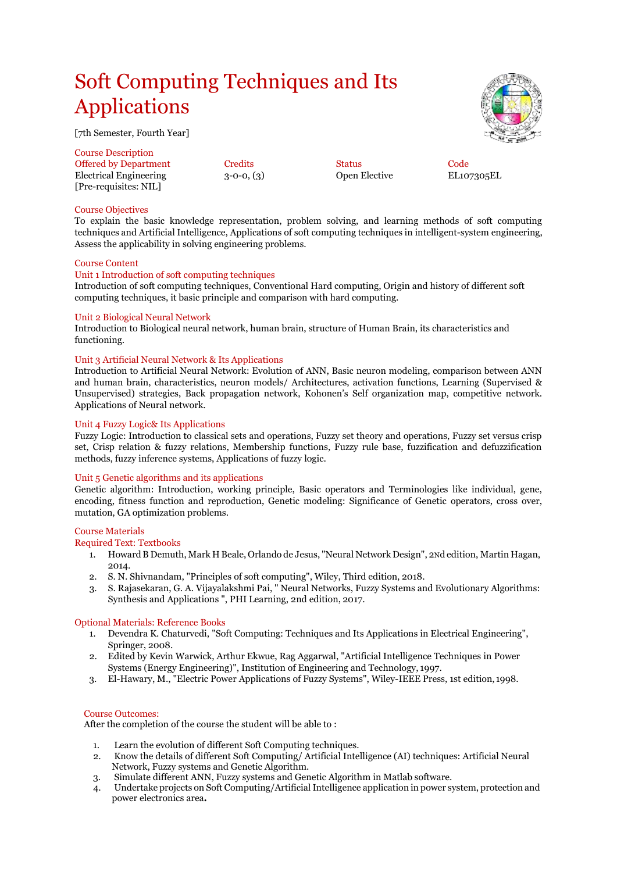# Soft Computing Techniques and Its Applications

[7th Semester, Fourth Year]

Course Description Offered by Department Credits Code<br>
Electrical Engineering 3-0-0, (3) Open Elective EL107305EL Electrical Engineering  $3-0-0$ ,  $(3)$ [Pre-requisites: NIL]

# Course Objectives

To explain the basic knowledge representation, problem solving, and learning methods of soft computing techniques and Artificial Intelligence, Applications of soft computing techniques in intelligent-system engineering, Assess the applicability in solving engineering problems.

# Course Content

# Unit 1 Introduction of soft computing techniques

Introduction of soft computing techniques, Conventional Hard computing, Origin and history of different soft computing techniques, it basic principle and comparison with hard computing.

# Unit 2 Biological Neural Network

Introduction to Biological neural network, human brain, structure of Human Brain, its characteristics and functioning.

# Unit 3 Artificial Neural Network & Its Applications

Introduction to Artificial Neural Network: Evolution of ANN, Basic neuron modeling, comparison between ANN and human brain, characteristics, neuron models/ Architectures, activation functions, Learning (Supervised & Unsupervised) strategies, Back propagation network, Kohonen's Self organization map, competitive network. Applications of Neural network.

# Unit 4 Fuzzy Logic& Its Applications

Fuzzy Logic: Introduction to classical sets and operations, Fuzzy set theory and operations, Fuzzy set versus crisp set, Crisp relation & fuzzy relations, Membership functions, Fuzzy rule base, fuzzification and defuzzification methods, fuzzy inference systems, Applications of fuzzy logic.

#### Unit 5 Genetic algorithms and its applications

Genetic algorithm: Introduction, working principle, Basic operators and Terminologies like individual, gene, encoding, fitness function and reproduction, Genetic modeling: Significance of Genetic operators, cross over, mutation, GA optimization problems.

#### Course Materials

Required Text: Textbooks

- 1. Howard B Demuth, Mark H Beale, Orlando de Jesus, "Neural Network Design", 2Nd edition, Martin Hagan, 2014.
- 2. S. N. Shivnandam, "Principles of soft computing", Wiley, Third edition, 2018.
- 3. S. Rajasekaran, G. A. Vijayalakshmi Pai, " Neural Networks, Fuzzy Systems and Evolutionary Algorithms: Synthesis and Applications ", PHI Learning, 2nd edition, 2017.

#### Optional Materials: Reference Books

- 1. Devendra K. Chaturvedi, "Soft Computing: Techniques and Its Applications in Electrical Engineering", Springer, 2008.
- 2. Edited by Kevin Warwick, Arthur Ekwue, Rag Aggarwal, "Artificial Intelligence Techniques in Power Systems (Energy Engineering)", Institution of Engineering and Technology, 1997.
- 3. El-Hawary, M., "Electric Power Applications of Fuzzy Systems", Wiley-IEEE Press, 1st edition, 1998.

#### Course Outcomes:

After the completion of the course the student will be able to :

- 1. Learn the evolution of different Soft Computing techniques.
- 2. Know the details of different Soft Computing/ Artificial Intelligence (AI) techniques: Artificial Neural Network, Fuzzy systems and Genetic Algorithm.
- 3. Simulate different ANN, Fuzzy systems and Genetic Algorithm in Matlab software.
- 4. Undertake projects on Soft Computing/Artificial Intelligence application in power system, protection and power electronics area*.*

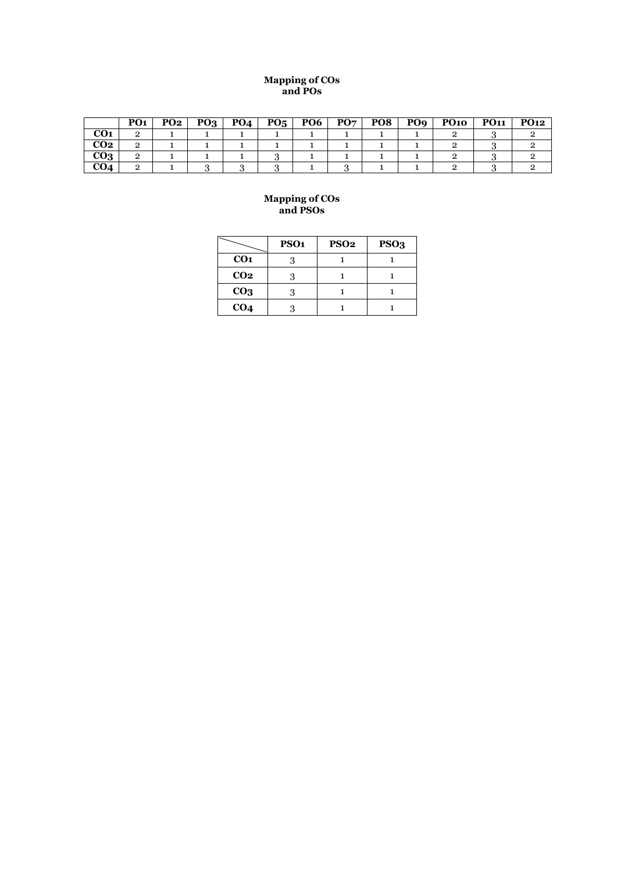#### **Mapping of COs and POs**

|                 | PO <sub>1</sub> | PO2 | PQ <sub>3</sub> | PO <sub>4</sub> | $\overline{P0}_5$ | PO6 | PO <sub>7</sub> | PO8 | PO <sub>9</sub> | <b>PO10</b> | <b>PO11</b> | <b>PO12</b> |
|-----------------|-----------------|-----|-----------------|-----------------|-------------------|-----|-----------------|-----|-----------------|-------------|-------------|-------------|
| CO <sub>1</sub> |                 |     |                 |                 |                   |     |                 |     |                 |             |             |             |
| CO2             |                 |     |                 |                 |                   |     |                 |     |                 |             |             |             |
| CO3             |                 |     |                 |                 |                   |     |                 |     |                 |             |             |             |
|                 |                 |     |                 |                 |                   |     |                 |     |                 |             |             |             |

|                 | PSO <sub>1</sub> | <b>PSO2</b> | PSO <sub>3</sub> |
|-----------------|------------------|-------------|------------------|
| CO <sub>1</sub> |                  |             |                  |
| CO <sub>2</sub> |                  |             |                  |
| CO <sub>3</sub> |                  |             |                  |
| CO <sub>4</sub> |                  |             |                  |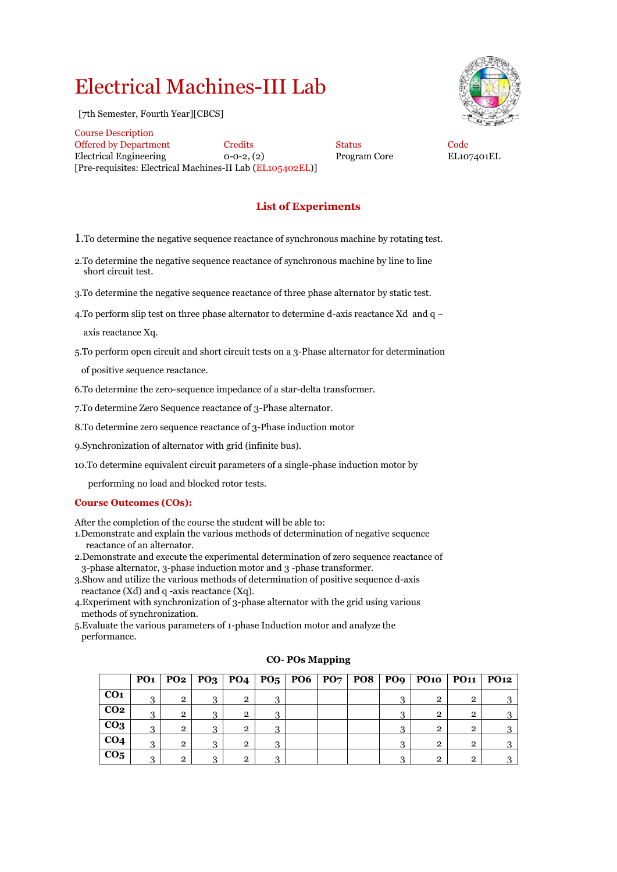# Electrical Machines-III Lab

[7th Semester, Fourth Year][CBCS]



Course Description Offered by Department Credits Status Code Electrical Engineering 0-0-2, (2) Program Core EL107401EL [Pre-requisites: Electrical Machines-II Lab (EL105402EL)]

# **List of Experiments**

1.To determine the negative sequence reactance of synchronous machine by rotating test.

- 2.To determine the negative sequence reactance of synchronous machine by line to line short circuit test.
- 3.To determine the negative sequence reactance of three phase alternator by static test.
- 4. To perform slip test on three phase alternator to determine d-axis reactance Xd and  $q -$

axis reactance Xq.

5.To perform open circuit and short circuit tests on a 3-Phase alternator for determination

of positive sequence reactance.

6.To determine the zero-sequence impedance of a star-delta transformer.

7.To determine Zero Sequence reactance of 3-Phase alternator.

8.To determine zero sequence reactance of 3-Phase induction motor

9.Synchronization of alternator with grid (infinite bus).

10.To determine equivalent circuit parameters of a single-phase induction motor by

performing no load and blocked rotor tests.

# **Course Outcomes (COs):**

After the completion of the course the student will be able to:

- 1.Demonstrate and explain the various methods of determination of negative sequence reactance of an alternator.
- 2.Demonstrate and execute the experimental determination of zero sequence reactance of 3-phase alternator, 3-phase induction motor and 3 -phase transformer.
- 3.Show and utilize the various methods of determination of positive sequence d-axis reactance (Xd) and q -axis reactance (Xq).
- 4.Experiment with synchronization of 3-phase alternator with the grid using various methods of synchronization.
- 5.Evaluate the various parameters of 1-phase Induction motor and analyze the performance.

|                 | PO <sub>1</sub> |                |          |                |   |  |   | $PQ2   PQ3   PQ4   PQ5   PQ6   PQ7   PQ8   PQ9   PQ10   PQ11   PQ12$ |                |   |
|-----------------|-----------------|----------------|----------|----------------|---|--|---|----------------------------------------------------------------------|----------------|---|
| CO <sub>1</sub> | $\Omega$        | $\overline{2}$ | 3        | $\overline{2}$ | 2 |  | ≘ | $\overline{2}$                                                       | $\overline{2}$ | റ |
| CO <sub>2</sub> | વ               | $\overline{2}$ | 3        | $\overline{2}$ | 2 |  | 3 | $\overline{2}$                                                       | $\overline{2}$ |   |
| CO <sub>3</sub> | 3               | $\overline{2}$ | 3        | $\overline{2}$ | 2 |  | 3 | $\overline{2}$                                                       | $\overline{2}$ |   |
| CO <sub>4</sub> | ີ               | $\overline{2}$ | $\Omega$ | $\overline{2}$ | ົ |  |   | $\overline{2}$                                                       | $\overline{2}$ |   |
| CO <sub>5</sub> | $\Omega$        | റ              | റ        | $\overline{2}$ | ົ |  | ≘ | $\mathfrak{p}$                                                       | $\overline{2}$ |   |

## **CO- POs Mapping**